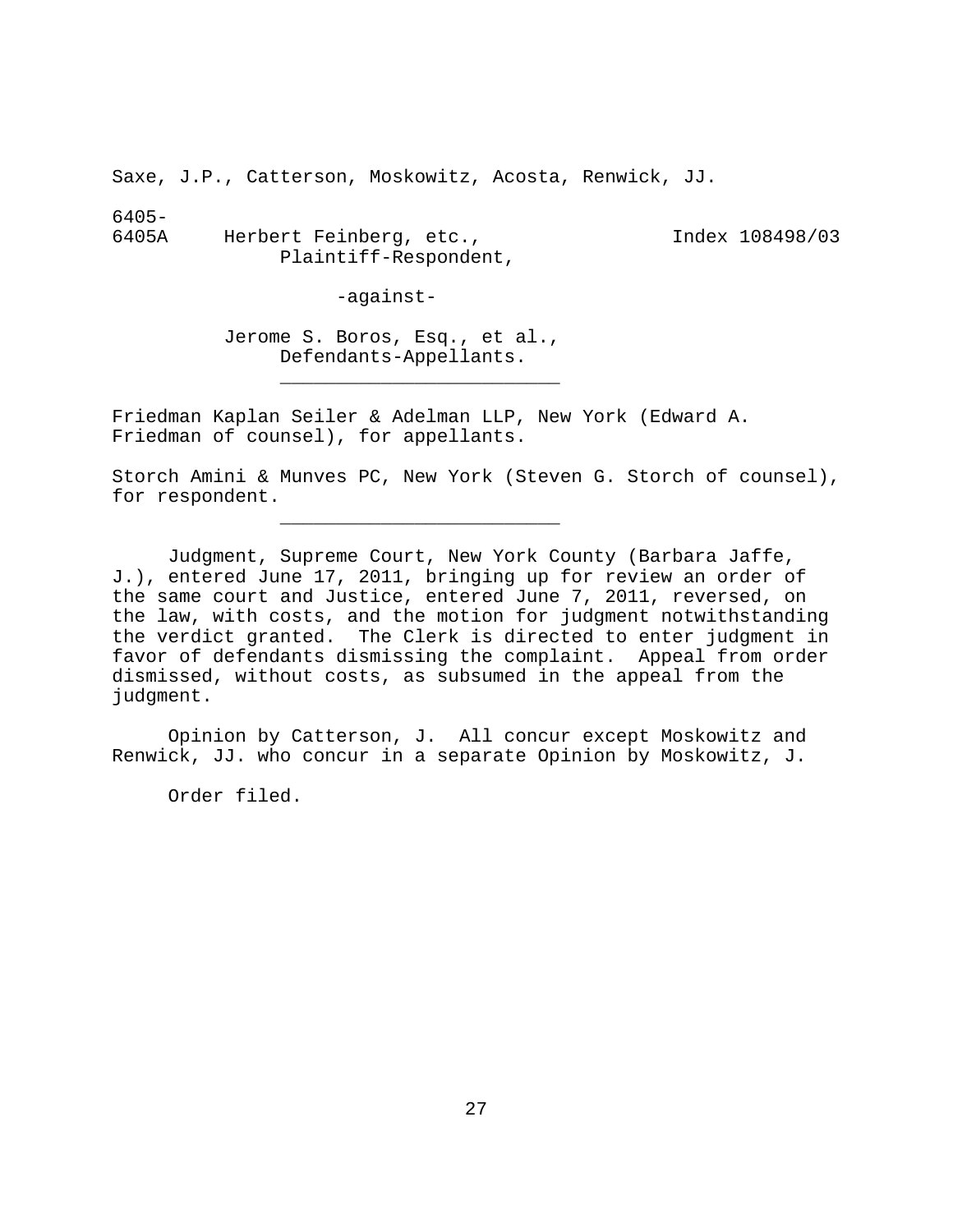Saxe, J.P., Catterson, Moskowitz, Acosta, Renwick, JJ.

6405-

6405A Herbert Feinberg, etc., Index 108498/03 Plaintiff-Respondent,

-against-

Jerome S. Boros, Esq., et al., Defendants-Appellants.

Friedman Kaplan Seiler & Adelman LLP, New York (Edward A. Friedman of counsel), for appellants.

\_\_\_\_\_\_\_\_\_\_\_\_\_\_\_\_\_\_\_\_\_\_\_\_\_

\_\_\_\_\_\_\_\_\_\_\_\_\_\_\_\_\_\_\_\_\_\_\_\_\_

Storch Amini & Munves PC, New York (Steven G. Storch of counsel), for respondent.

Judgment, Supreme Court, New York County (Barbara Jaffe, J.), entered June 17, 2011, bringing up for review an order of the same court and Justice, entered June 7, 2011, reversed, on the law, with costs, and the motion for judgment notwithstanding the verdict granted. The Clerk is directed to enter judgment in favor of defendants dismissing the complaint. Appeal from order dismissed, without costs, as subsumed in the appeal from the judgment.

Opinion by Catterson, J. All concur except Moskowitz and Renwick, JJ. who concur in a separate Opinion by Moskowitz, J.

Order filed.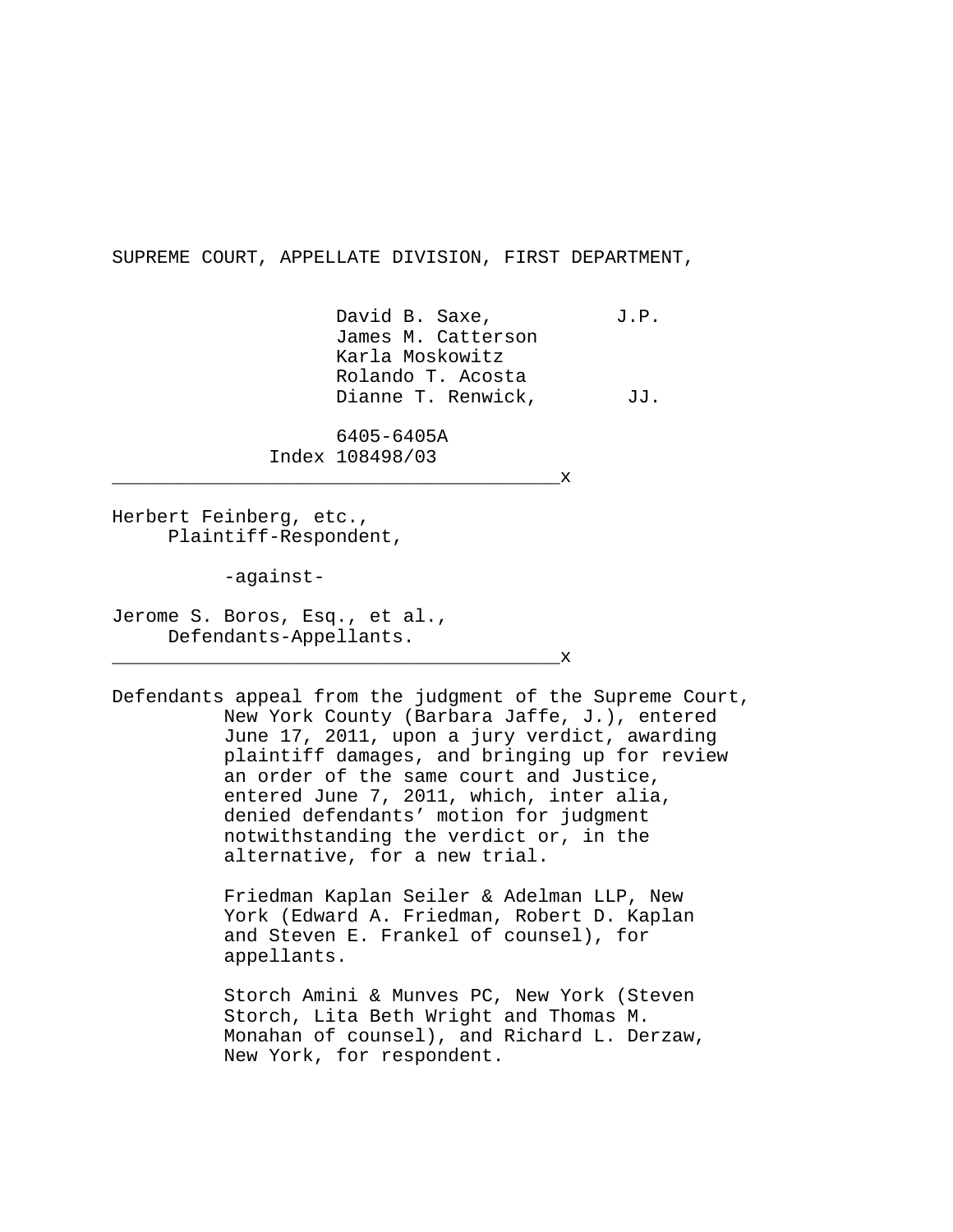SUPREME COURT, APPELLATE DIVISION, FIRST DEPARTMENT,

David B. Saxe, J.P. James M. Catterson Karla Moskowitz Rolando T. Acosta Dianne T. Renwick, JJ.

6405-6405A Index 108498/03

 $\mathbf x$ 

Herbert Feinberg, etc., Plaintiff-Respondent,

-against-

Jerome S. Boros, Esq., et al., Defendants-Appellants.

\_\_\_\_\_\_\_\_\_\_\_\_\_\_\_\_\_\_\_\_\_\_\_\_\_\_\_\_\_\_\_\_\_\_\_\_\_\_\_\_x

Defendants appeal from the judgment of the Supreme Court, New York County (Barbara Jaffe, J.), entered June 17, 2011, upon a jury verdict, awarding plaintiff damages, and bringing up for review an order of the same court and Justice, entered June 7, 2011, which, inter alia, denied defendants' motion for judgment notwithstanding the verdict or, in the alternative, for a new trial.

> Friedman Kaplan Seiler & Adelman LLP, New York (Edward A. Friedman, Robert D. Kaplan and Steven E. Frankel of counsel), for appellants.

Storch Amini & Munves PC, New York (Steven Storch, Lita Beth Wright and Thomas M. Monahan of counsel), and Richard L. Derzaw, New York, for respondent.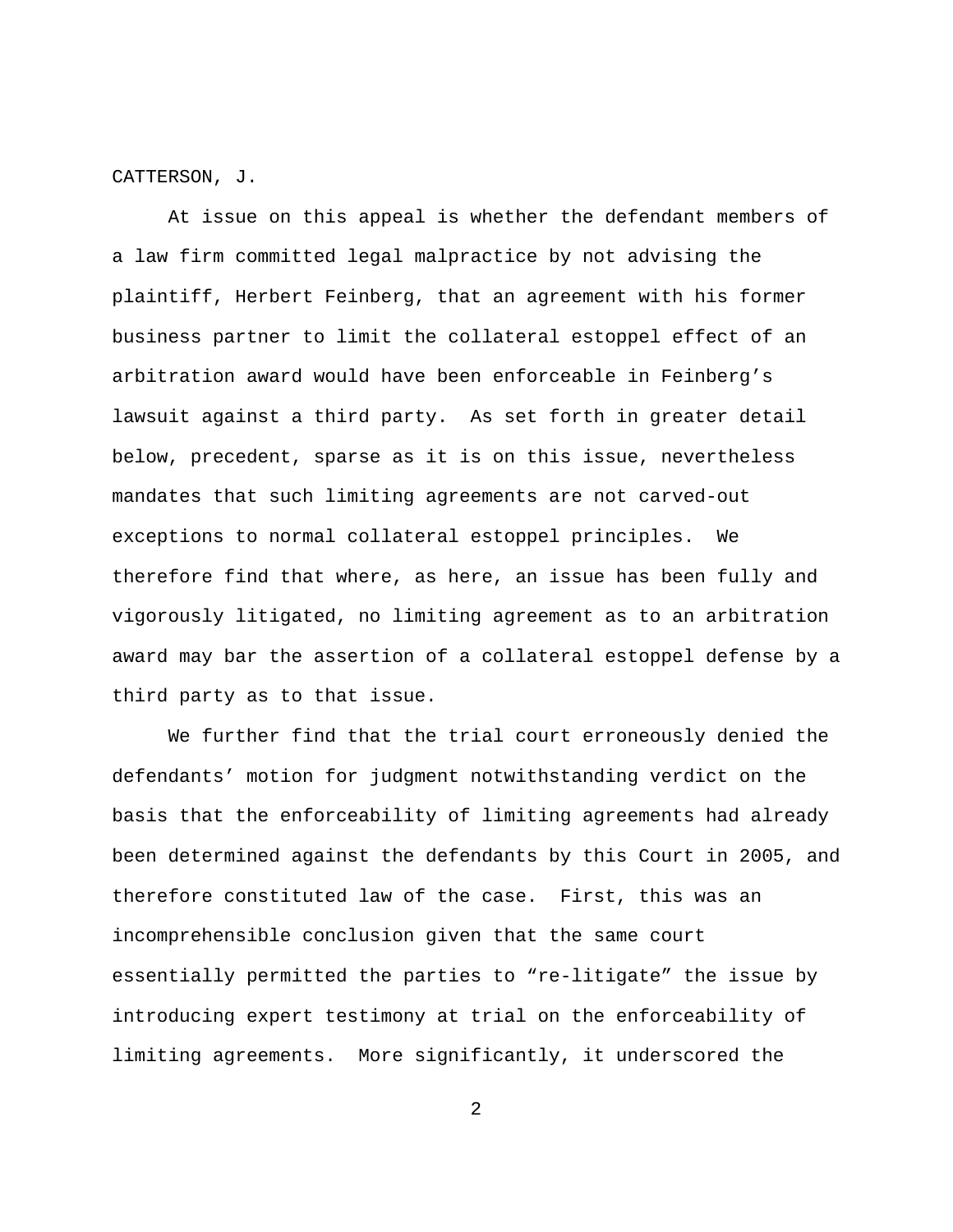CATTERSON, J.

At issue on this appeal is whether the defendant members of a law firm committed legal malpractice by not advising the plaintiff, Herbert Feinberg, that an agreement with his former business partner to limit the collateral estoppel effect of an arbitration award would have been enforceable in Feinberg's lawsuit against a third party. As set forth in greater detail below, precedent, sparse as it is on this issue, nevertheless mandates that such limiting agreements are not carved-out exceptions to normal collateral estoppel principles. We therefore find that where, as here, an issue has been fully and vigorously litigated, no limiting agreement as to an arbitration award may bar the assertion of a collateral estoppel defense by a third party as to that issue.

We further find that the trial court erroneously denied the defendants' motion for judgment notwithstanding verdict on the basis that the enforceability of limiting agreements had already been determined against the defendants by this Court in 2005, and therefore constituted law of the case. First, this was an incomprehensible conclusion given that the same court essentially permitted the parties to "re-litigate" the issue by introducing expert testimony at trial on the enforceability of limiting agreements. More significantly, it underscored the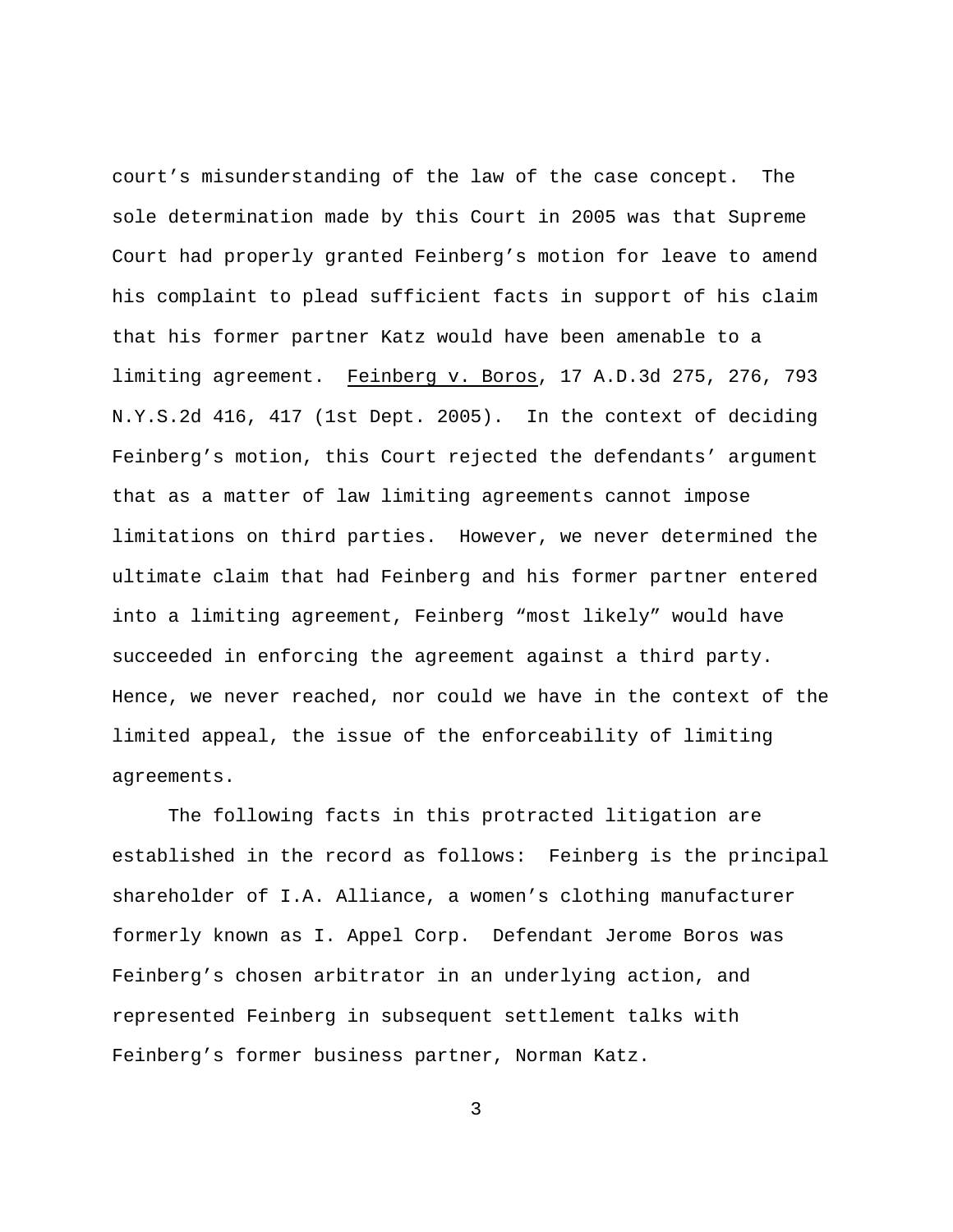court's misunderstanding of the law of the case concept. The sole determination made by this Court in 2005 was that Supreme Court had properly granted Feinberg's motion for leave to amend his complaint to plead sufficient facts in support of his claim that his former partner Katz would have been amenable to a limiting agreement. Feinberg v. Boros, 17 A.D.3d 275, 276, 793 N.Y.S.2d 416, 417 (1st Dept. 2005). In the context of deciding Feinberg's motion, this Court rejected the defendants' argument that as a matter of law limiting agreements cannot impose limitations on third parties. However, we never determined the ultimate claim that had Feinberg and his former partner entered into a limiting agreement, Feinberg "most likely" would have succeeded in enforcing the agreement against a third party. Hence, we never reached, nor could we have in the context of the limited appeal, the issue of the enforceability of limiting agreements.

The following facts in this protracted litigation are established in the record as follows: Feinberg is the principal shareholder of I.A. Alliance, a women's clothing manufacturer formerly known as I. Appel Corp. Defendant Jerome Boros was Feinberg's chosen arbitrator in an underlying action, and represented Feinberg in subsequent settlement talks with Feinberg's former business partner, Norman Katz.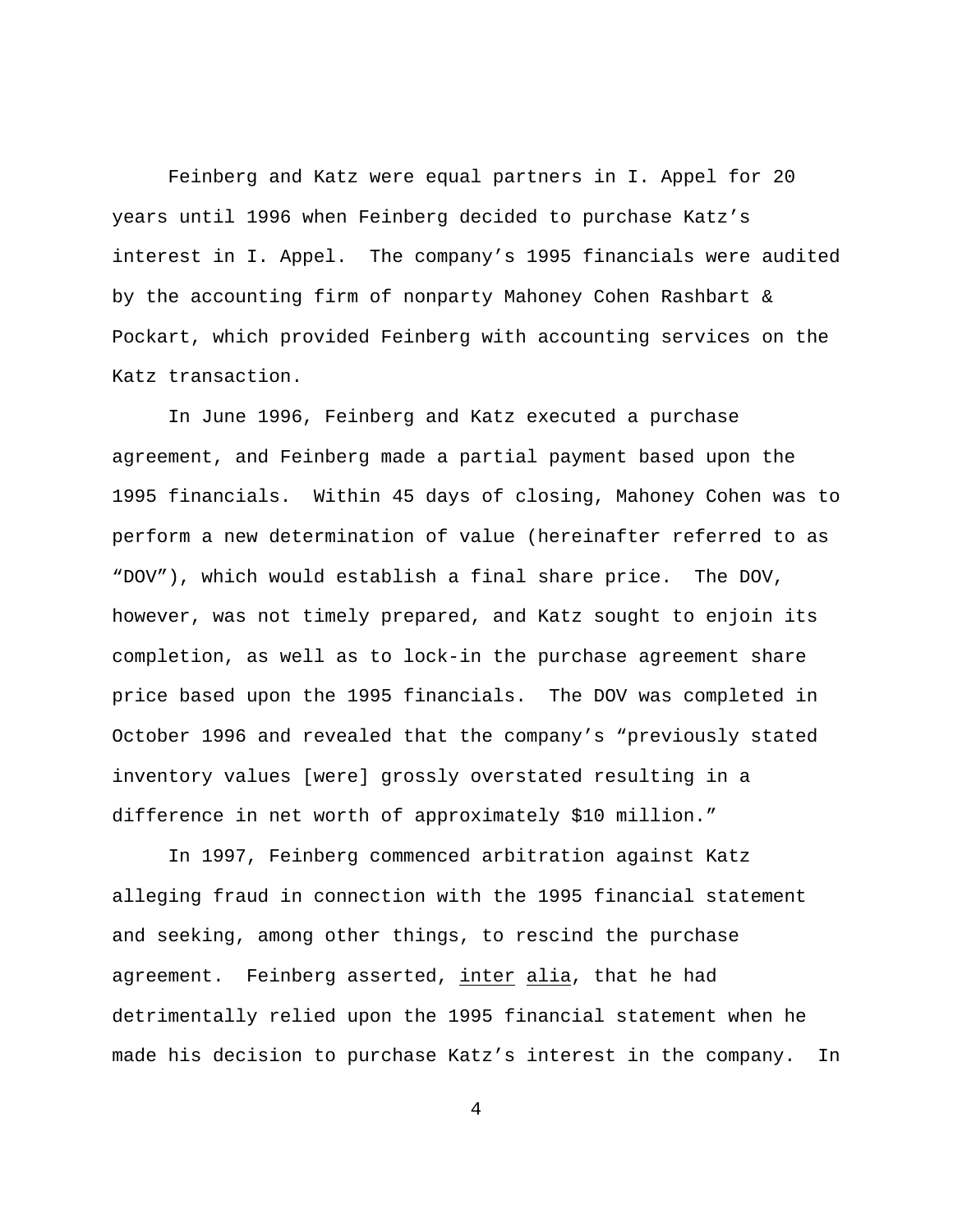Feinberg and Katz were equal partners in I. Appel for 20 years until 1996 when Feinberg decided to purchase Katz's interest in I. Appel. The company's 1995 financials were audited by the accounting firm of nonparty Mahoney Cohen Rashbart & Pockart, which provided Feinberg with accounting services on the Katz transaction.

In June 1996, Feinberg and Katz executed a purchase agreement, and Feinberg made a partial payment based upon the 1995 financials. Within 45 days of closing, Mahoney Cohen was to perform a new determination of value (hereinafter referred to as "DOV"), which would establish a final share price. The DOV, however, was not timely prepared, and Katz sought to enjoin its completion, as well as to lock-in the purchase agreement share price based upon the 1995 financials. The DOV was completed in October 1996 and revealed that the company's "previously stated inventory values [were] grossly overstated resulting in a difference in net worth of approximately \$10 million."

In 1997, Feinberg commenced arbitration against Katz alleging fraud in connection with the 1995 financial statement and seeking, among other things, to rescind the purchase agreement. Feinberg asserted, inter alia, that he had detrimentally relied upon the 1995 financial statement when he made his decision to purchase Katz's interest in the company. In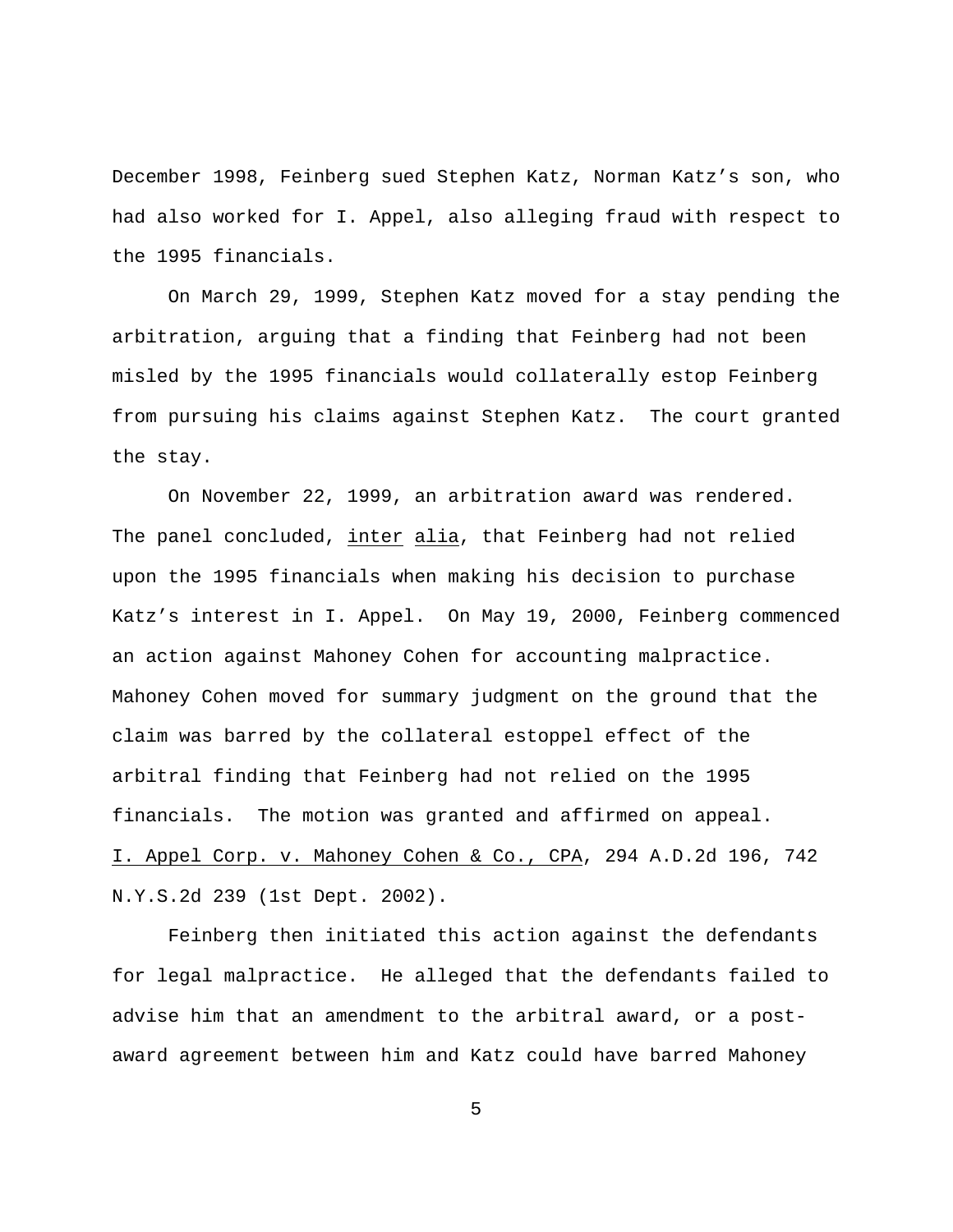December 1998, Feinberg sued Stephen Katz, Norman Katz's son, who had also worked for I. Appel, also alleging fraud with respect to the 1995 financials.

On March 29, 1999, Stephen Katz moved for a stay pending the arbitration, arguing that a finding that Feinberg had not been misled by the 1995 financials would collaterally estop Feinberg from pursuing his claims against Stephen Katz. The court granted the stay.

On November 22, 1999, an arbitration award was rendered. The panel concluded, inter alia, that Feinberg had not relied upon the 1995 financials when making his decision to purchase Katz's interest in I. Appel. On May 19, 2000, Feinberg commenced an action against Mahoney Cohen for accounting malpractice. Mahoney Cohen moved for summary judgment on the ground that the claim was barred by the collateral estoppel effect of the arbitral finding that Feinberg had not relied on the 1995 financials. The motion was granted and affirmed on appeal. I. Appel Corp. v. Mahoney Cohen & Co., CPA, 294 A.D.2d 196, 742 N.Y.S.2d 239 (1st Dept. 2002).

Feinberg then initiated this action against the defendants for legal malpractice. He alleged that the defendants failed to advise him that an amendment to the arbitral award, or a postaward agreement between him and Katz could have barred Mahoney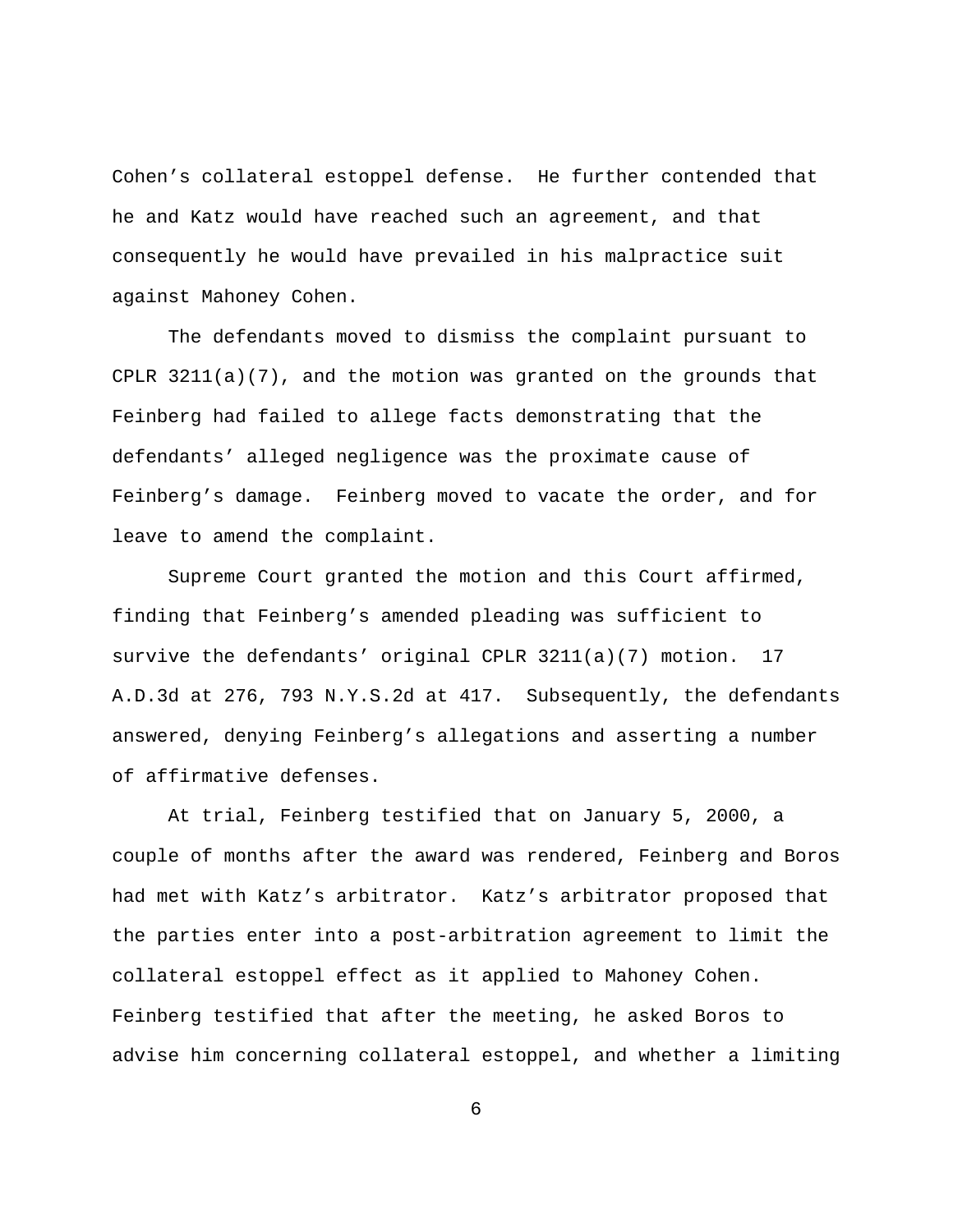Cohen's collateral estoppel defense. He further contended that he and Katz would have reached such an agreement, and that consequently he would have prevailed in his malpractice suit against Mahoney Cohen.

The defendants moved to dismiss the complaint pursuant to CPLR 3211(a)(7), and the motion was granted on the grounds that Feinberg had failed to allege facts demonstrating that the defendants' alleged negligence was the proximate cause of Feinberg's damage. Feinberg moved to vacate the order, and for leave to amend the complaint.

Supreme Court granted the motion and this Court affirmed, finding that Feinberg's amended pleading was sufficient to survive the defendants' original CPLR 3211(a)(7) motion. 17 A.D.3d at 276, 793 N.Y.S.2d at 417. Subsequently, the defendants answered, denying Feinberg's allegations and asserting a number of affirmative defenses.

At trial, Feinberg testified that on January 5, 2000, a couple of months after the award was rendered, Feinberg and Boros had met with Katz's arbitrator. Katz's arbitrator proposed that the parties enter into a post-arbitration agreement to limit the collateral estoppel effect as it applied to Mahoney Cohen. Feinberg testified that after the meeting, he asked Boros to advise him concerning collateral estoppel, and whether a limiting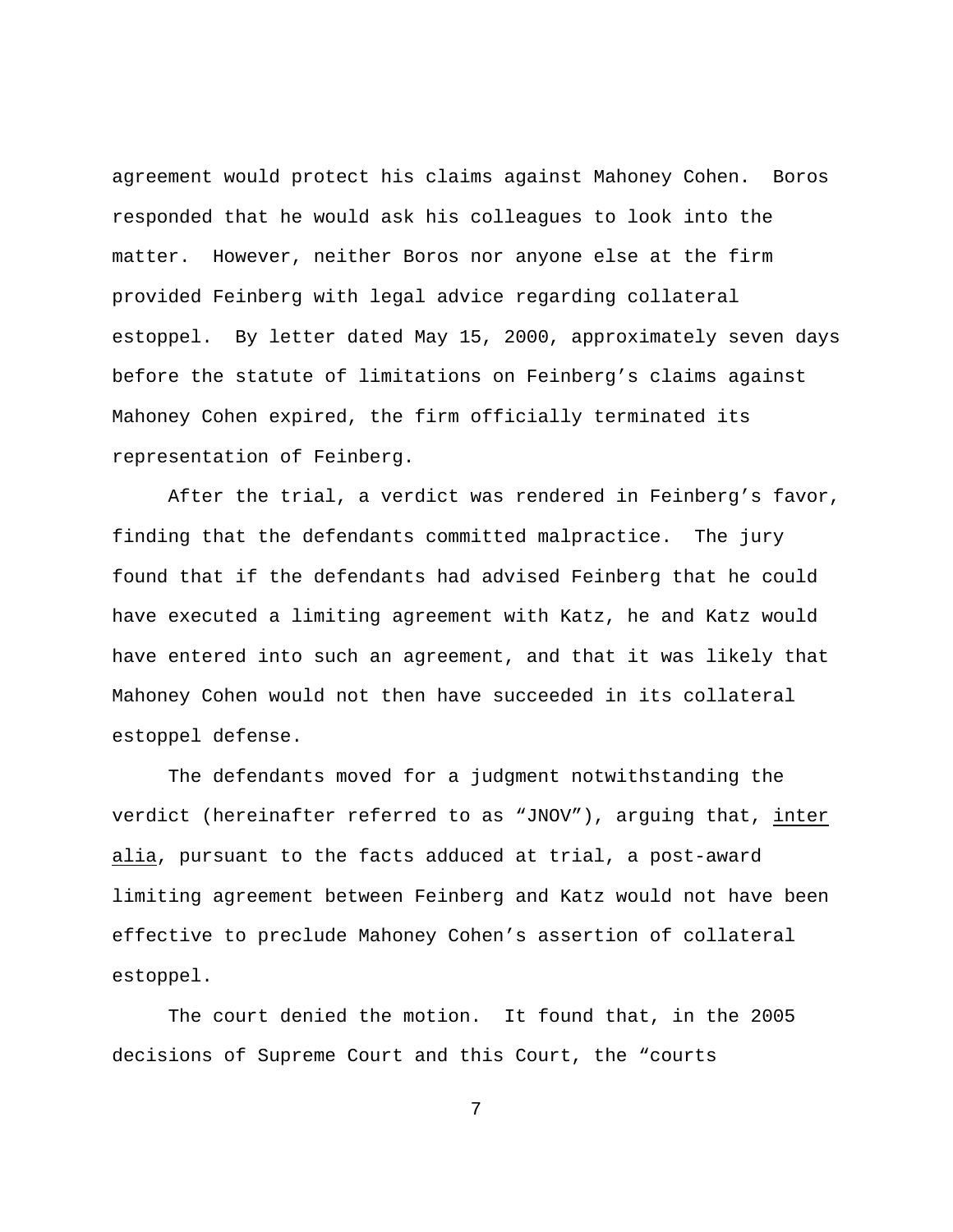agreement would protect his claims against Mahoney Cohen. Boros responded that he would ask his colleagues to look into the matter. However, neither Boros nor anyone else at the firm provided Feinberg with legal advice regarding collateral estoppel. By letter dated May 15, 2000, approximately seven days before the statute of limitations on Feinberg's claims against Mahoney Cohen expired, the firm officially terminated its representation of Feinberg.

After the trial, a verdict was rendered in Feinberg's favor, finding that the defendants committed malpractice. The jury found that if the defendants had advised Feinberg that he could have executed a limiting agreement with Katz, he and Katz would have entered into such an agreement, and that it was likely that Mahoney Cohen would not then have succeeded in its collateral estoppel defense.

The defendants moved for a judgment notwithstanding the verdict (hereinafter referred to as "JNOV"), arguing that, inter alia, pursuant to the facts adduced at trial, a post-award limiting agreement between Feinberg and Katz would not have been effective to preclude Mahoney Cohen's assertion of collateral estoppel.

The court denied the motion. It found that, in the 2005 decisions of Supreme Court and this Court, the "courts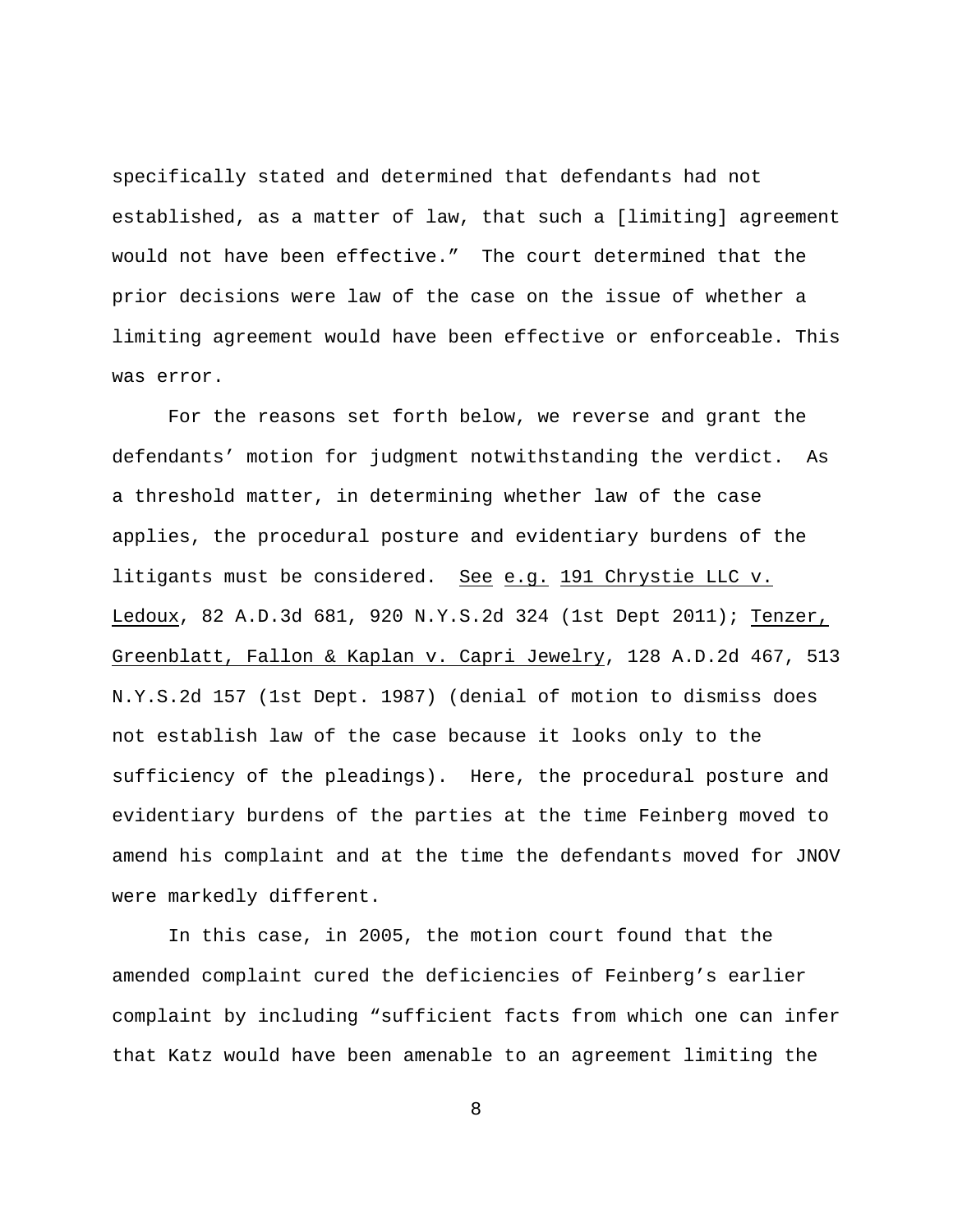specifically stated and determined that defendants had not established, as a matter of law, that such a [limiting] agreement would not have been effective." The court determined that the prior decisions were law of the case on the issue of whether a limiting agreement would have been effective or enforceable. This was error.

For the reasons set forth below, we reverse and grant the defendants' motion for judgment notwithstanding the verdict. As a threshold matter, in determining whether law of the case applies, the procedural posture and evidentiary burdens of the litigants must be considered. See e.g. 191 Chrystie LLC v. Ledoux, 82 A.D.3d 681, 920 N.Y.S.2d 324 (1st Dept 2011); Tenzer, Greenblatt, Fallon & Kaplan v. Capri Jewelry, 128 A.D.2d 467, 513 N.Y.S.2d 157 (1st Dept. 1987) (denial of motion to dismiss does not establish law of the case because it looks only to the sufficiency of the pleadings). Here, the procedural posture and evidentiary burdens of the parties at the time Feinberg moved to amend his complaint and at the time the defendants moved for JNOV were markedly different.

In this case, in 2005, the motion court found that the amended complaint cured the deficiencies of Feinberg's earlier complaint by including "sufficient facts from which one can infer that Katz would have been amenable to an agreement limiting the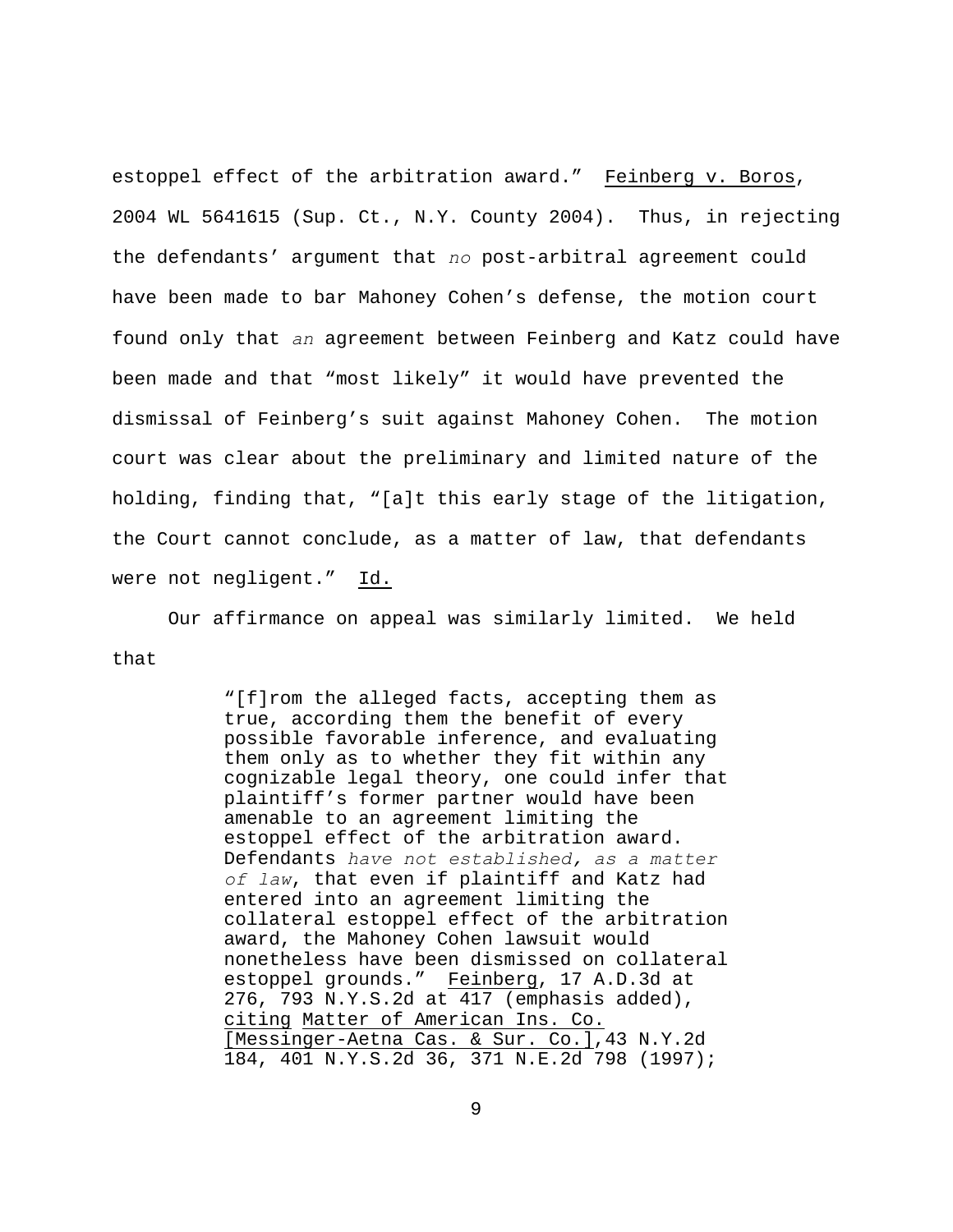estoppel effect of the arbitration award." Feinberg v. Boros, 2004 WL 5641615 (Sup. Ct., N.Y. County 2004). Thus, in rejecting the defendants' argument that *no* post-arbitral agreement could have been made to bar Mahoney Cohen's defense, the motion court found only that *an* agreement between Feinberg and Katz could have been made and that "most likely" it would have prevented the dismissal of Feinberg's suit against Mahoney Cohen. The motion court was clear about the preliminary and limited nature of the holding, finding that, "[a]t this early stage of the litigation, the Court cannot conclude, as a matter of law, that defendants were not negligent." Id.

Our affirmance on appeal was similarly limited. We held that

> "[f]rom the alleged facts, accepting them as true, according them the benefit of every possible favorable inference, and evaluating them only as to whether they fit within any cognizable legal theory, one could infer that plaintiff's former partner would have been amenable to an agreement limiting the estoppel effect of the arbitration award. Defendants *have not established, as a matter of law*, that even if plaintiff and Katz had entered into an agreement limiting the collateral estoppel effect of the arbitration award, the Mahoney Cohen lawsuit would nonetheless have been dismissed on collateral estoppel grounds." Feinberg, 17 A.D.3d at 276, 793 N.Y.S.2d at 417 (emphasis added), citing Matter of American Ins. Co. [Messinger-Aetna Cas. & Sur. Co.],43 N.Y.2d 184, 401 N.Y.S.2d 36, 371 N.E.2d 798 (1997);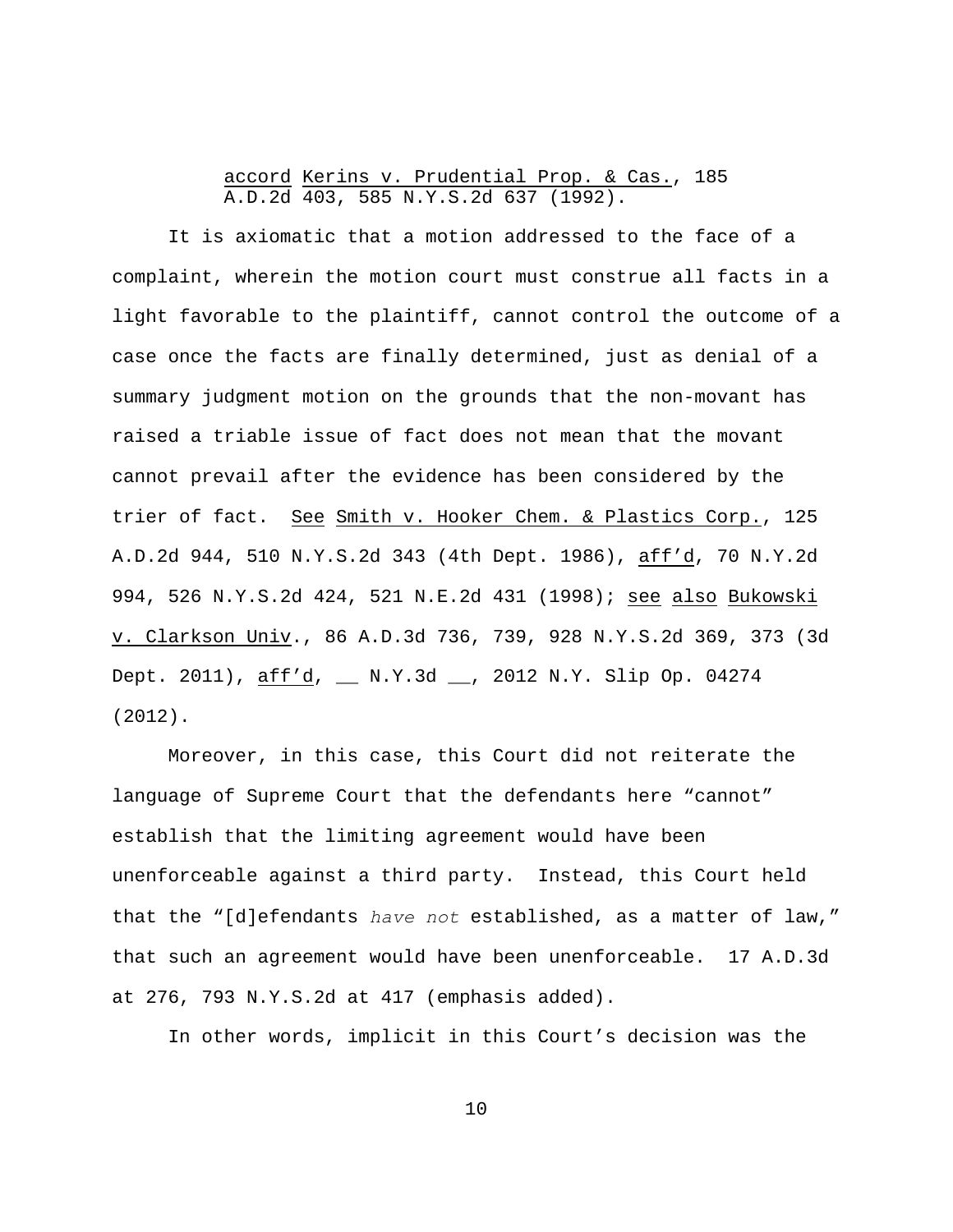## accord Kerins v. Prudential Prop. & Cas., 185 A.D.2d 403, 585 N.Y.S.2d 637 (1992).

It is axiomatic that a motion addressed to the face of a complaint, wherein the motion court must construe all facts in a light favorable to the plaintiff, cannot control the outcome of a case once the facts are finally determined, just as denial of a summary judgment motion on the grounds that the non-movant has raised a triable issue of fact does not mean that the movant cannot prevail after the evidence has been considered by the trier of fact. See Smith v. Hooker Chem. & Plastics Corp., 125 A.D.2d 944, 510 N.Y.S.2d 343 (4th Dept. 1986), aff'd, 70 N.Y.2d 994, 526 N.Y.S.2d 424, 521 N.E.2d 431 (1998); see also Bukowski v. Clarkson Univ., 86 A.D.3d 736, 739, 928 N.Y.S.2d 369, 373 (3d Dept. 2011), aff'd, \_\_ N.Y.3d \_\_, 2012 N.Y. Slip Op. 04274 (2012).

Moreover, in this case, this Court did not reiterate the language of Supreme Court that the defendants here "cannot" establish that the limiting agreement would have been unenforceable against a third party. Instead, this Court held that the "[d]efendants *have not* established, as a matter of law," that such an agreement would have been unenforceable. 17 A.D.3d at 276, 793 N.Y.S.2d at 417 (emphasis added).

In other words, implicit in this Court's decision was the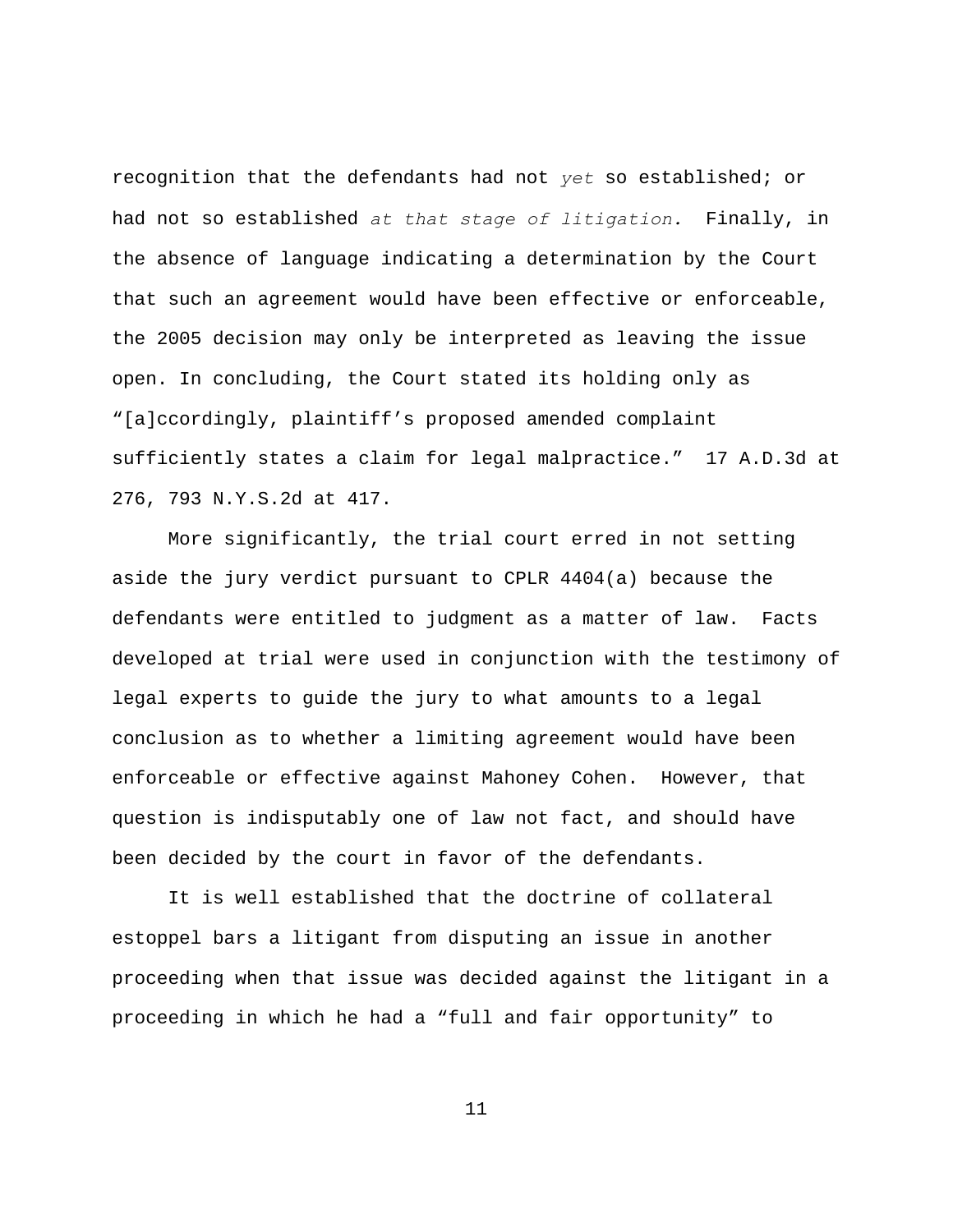recognition that the defendants had not *yet* so established; or had not so established *at that stage of litigation.* Finally, in the absence of language indicating a determination by the Court that such an agreement would have been effective or enforceable, the 2005 decision may only be interpreted as leaving the issue open. In concluding, the Court stated its holding only as "[a]ccordingly, plaintiff's proposed amended complaint sufficiently states a claim for legal malpractice." 17 A.D.3d at 276, 793 N.Y.S.2d at 417.

More significantly, the trial court erred in not setting aside the jury verdict pursuant to CPLR 4404(a) because the defendants were entitled to judgment as a matter of law. Facts developed at trial were used in conjunction with the testimony of legal experts to guide the jury to what amounts to a legal conclusion as to whether a limiting agreement would have been enforceable or effective against Mahoney Cohen. However, that question is indisputably one of law not fact, and should have been decided by the court in favor of the defendants.

It is well established that the doctrine of collateral estoppel bars a litigant from disputing an issue in another proceeding when that issue was decided against the litigant in a proceeding in which he had a "full and fair opportunity" to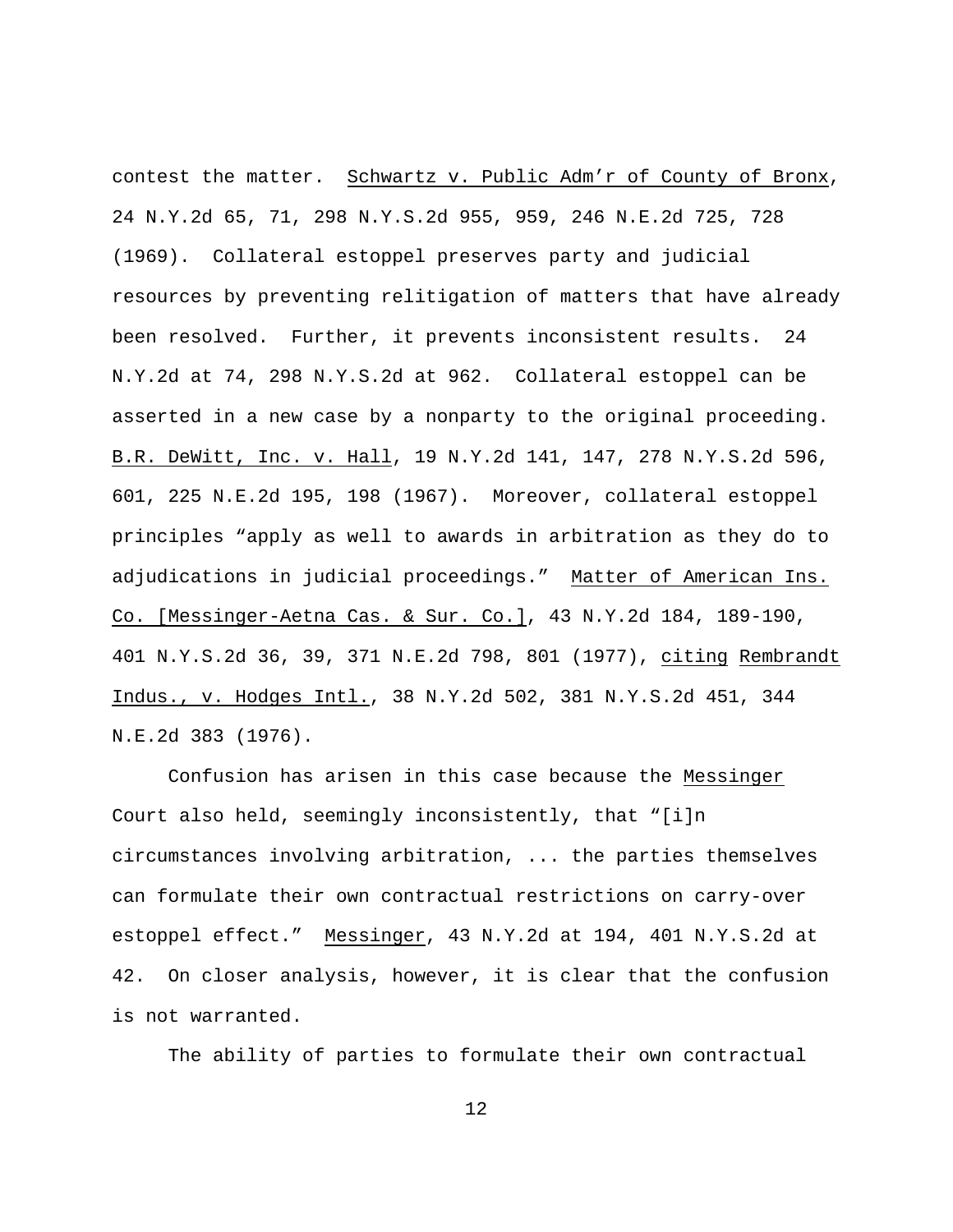contest the matter. Schwartz v. Public Adm'r of County of Bronx, 24 N.Y.2d 65, 71, 298 N.Y.S.2d 955, 959, 246 N.E.2d 725, 728 (1969). Collateral estoppel preserves party and judicial resources by preventing relitigation of matters that have already been resolved. Further, it prevents inconsistent results. 24 N.Y.2d at 74, 298 N.Y.S.2d at 962. Collateral estoppel can be asserted in a new case by a nonparty to the original proceeding. B.R. DeWitt, Inc. v. Hall, 19 N.Y.2d 141, 147, 278 N.Y.S.2d 596, 601, 225 N.E.2d 195, 198 (1967). Moreover, collateral estoppel principles "apply as well to awards in arbitration as they do to adjudications in judicial proceedings." Matter of American Ins. Co. [Messinger-Aetna Cas. & Sur. Co.], 43 N.Y.2d 184, 189-190, 401 N.Y.S.2d 36, 39, 371 N.E.2d 798, 801 (1977), citing Rembrandt Indus., v. Hodges Intl., 38 N.Y.2d 502, 381 N.Y.S.2d 451, 344 N.E.2d 383 (1976).

Confusion has arisen in this case because the Messinger Court also held, seemingly inconsistently, that "[i]n circumstances involving arbitration, ... the parties themselves can formulate their own contractual restrictions on carry-over estoppel effect." Messinger, 43 N.Y.2d at 194, 401 N.Y.S.2d at 42. On closer analysis, however, it is clear that the confusion is not warranted.

The ability of parties to formulate their own contractual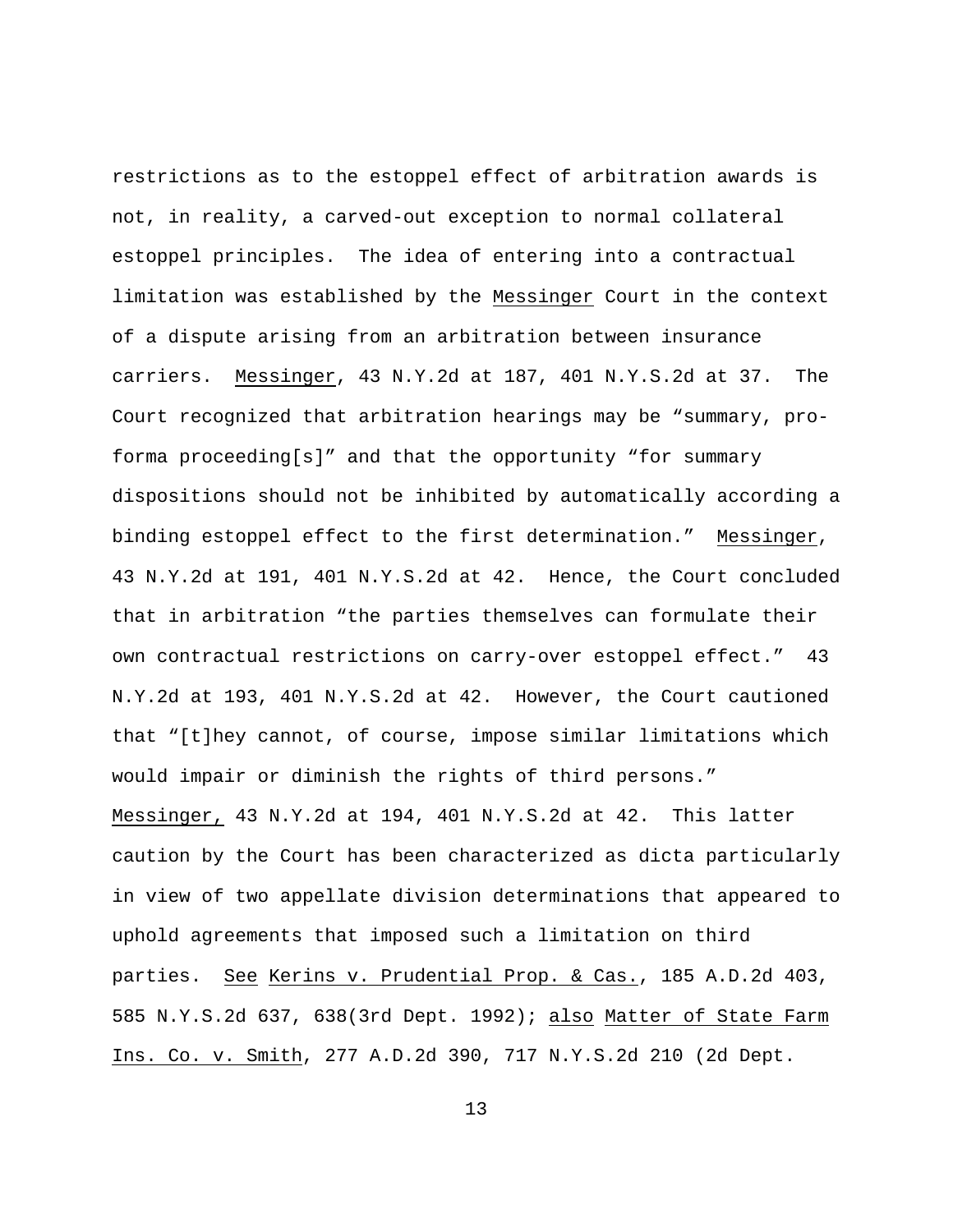restrictions as to the estoppel effect of arbitration awards is not, in reality, a carved-out exception to normal collateral estoppel principles. The idea of entering into a contractual limitation was established by the Messinger Court in the context of a dispute arising from an arbitration between insurance carriers. Messinger, 43 N.Y.2d at 187, 401 N.Y.S.2d at 37. The Court recognized that arbitration hearings may be "summary, proforma proceeding[s]" and that the opportunity "for summary dispositions should not be inhibited by automatically according a binding estoppel effect to the first determination." Messinger, 43 N.Y.2d at 191, 401 N.Y.S.2d at 42. Hence, the Court concluded that in arbitration "the parties themselves can formulate their own contractual restrictions on carry-over estoppel effect." 43 N.Y.2d at 193, 401 N.Y.S.2d at 42. However, the Court cautioned that "[t]hey cannot, of course, impose similar limitations which would impair or diminish the rights of third persons." Messinger, 43 N.Y.2d at 194, 401 N.Y.S.2d at 42. This latter caution by the Court has been characterized as dicta particularly in view of two appellate division determinations that appeared to uphold agreements that imposed such a limitation on third parties. See Kerins v. Prudential Prop. & Cas., 185 A.D.2d 403, 585 N.Y.S.2d 637, 638(3rd Dept. 1992); also Matter of State Farm Ins. Co. v. Smith, 277 A.D.2d 390, 717 N.Y.S.2d 210 (2d Dept.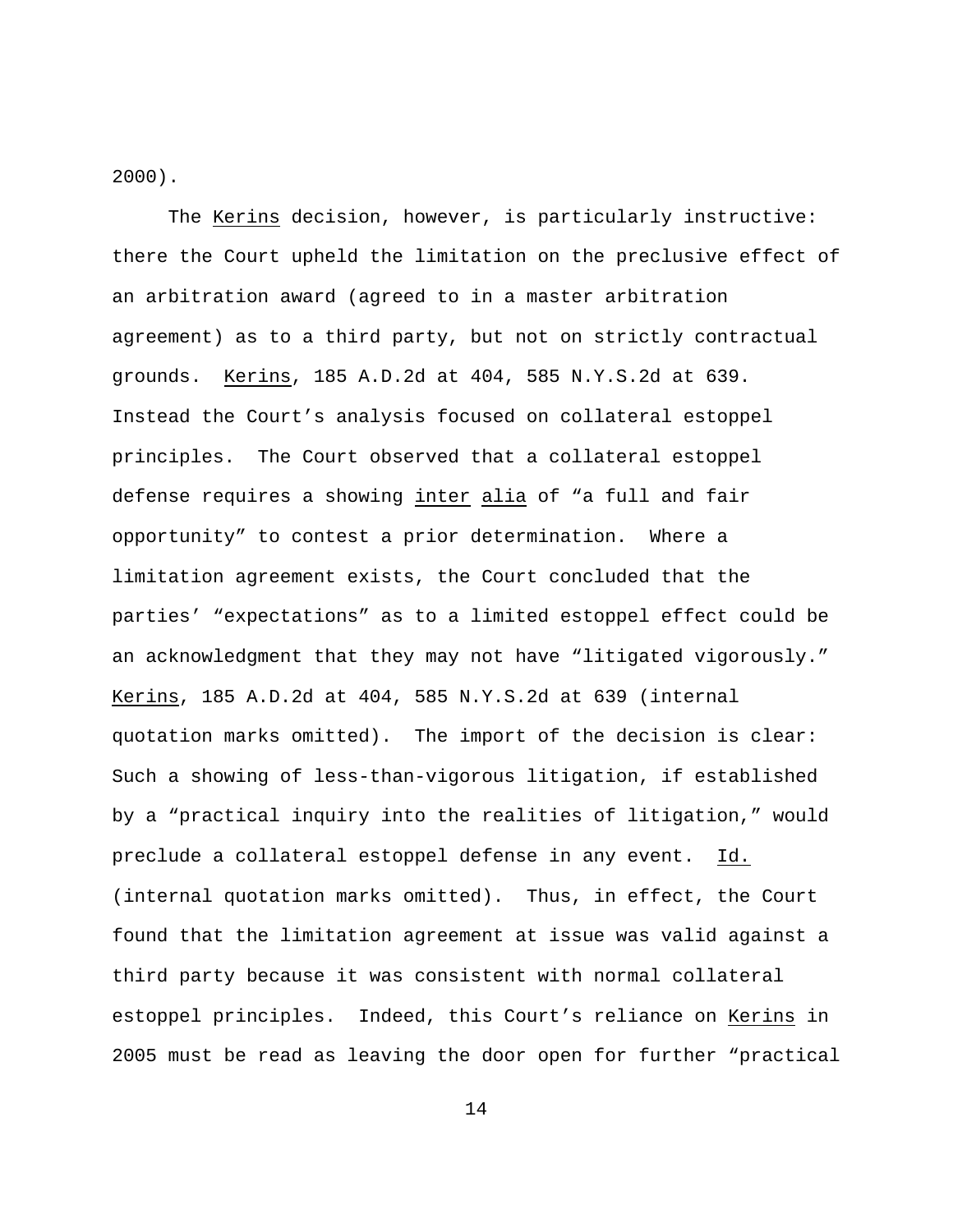2000).

The Kerins decision, however, is particularly instructive: there the Court upheld the limitation on the preclusive effect of an arbitration award (agreed to in a master arbitration agreement) as to a third party, but not on strictly contractual grounds. Kerins, 185 A.D.2d at 404, 585 N.Y.S.2d at 639. Instead the Court's analysis focused on collateral estoppel principles. The Court observed that a collateral estoppel defense requires a showing inter alia of "a full and fair opportunity" to contest a prior determination. Where a limitation agreement exists, the Court concluded that the parties' "expectations" as to a limited estoppel effect could be an acknowledgment that they may not have "litigated vigorously." Kerins, 185 A.D.2d at 404, 585 N.Y.S.2d at 639 (internal quotation marks omitted). The import of the decision is clear: Such a showing of less-than-vigorous litigation, if established by a "practical inquiry into the realities of litigation," would preclude a collateral estoppel defense in any event. Id. (internal quotation marks omitted). Thus, in effect, the Court found that the limitation agreement at issue was valid against a third party because it was consistent with normal collateral estoppel principles. Indeed, this Court's reliance on Kerins in 2005 must be read as leaving the door open for further "practical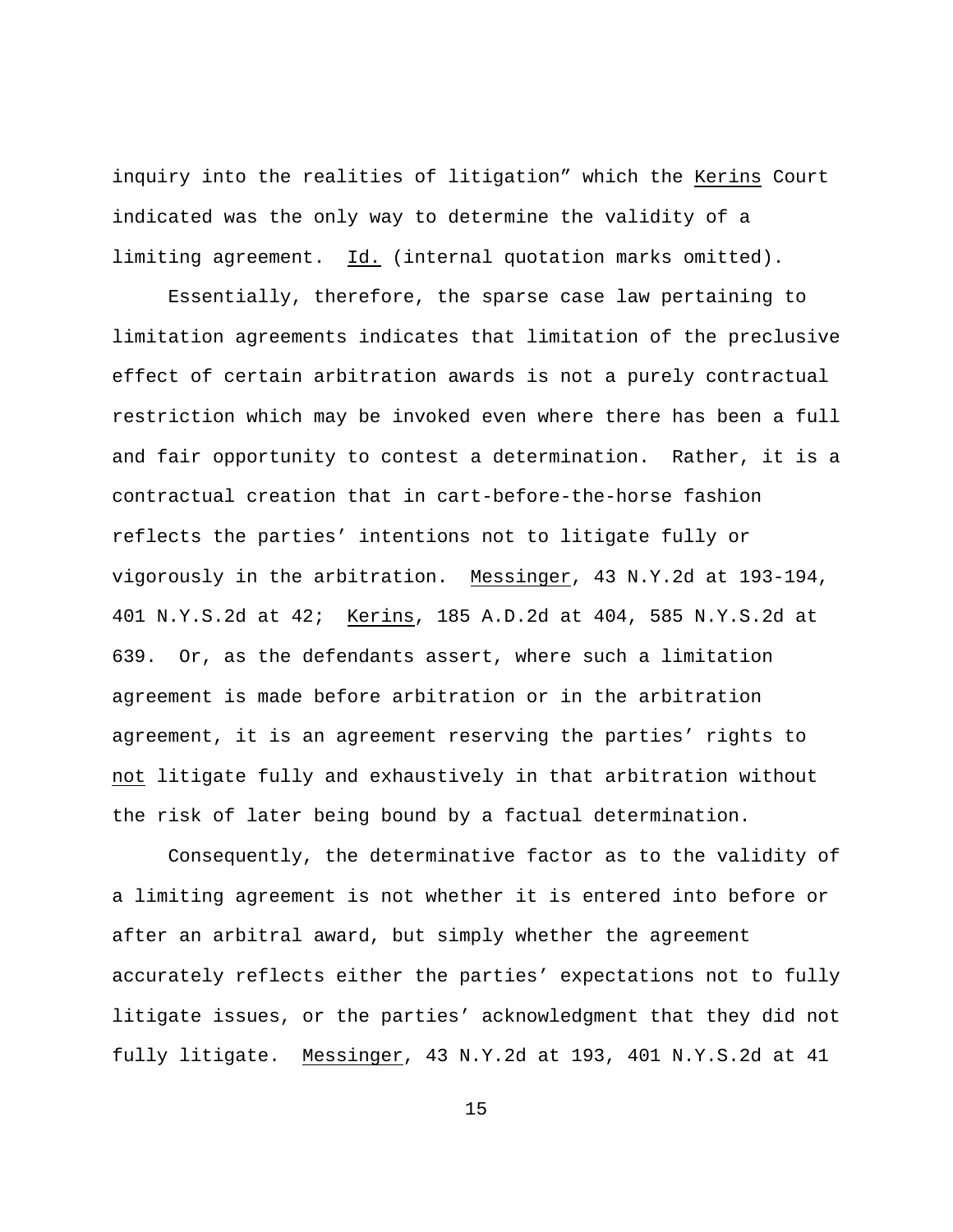inquiry into the realities of litigation" which the Kerins Court indicated was the only way to determine the validity of a limiting agreement. Id. (internal quotation marks omitted).

Essentially, therefore, the sparse case law pertaining to limitation agreements indicates that limitation of the preclusive effect of certain arbitration awards is not a purely contractual restriction which may be invoked even where there has been a full and fair opportunity to contest a determination. Rather, it is a contractual creation that in cart-before-the-horse fashion reflects the parties' intentions not to litigate fully or vigorously in the arbitration. Messinger, 43 N.Y.2d at 193-194, 401 N.Y.S.2d at 42; Kerins, 185 A.D.2d at 404, 585 N.Y.S.2d at 639. Or, as the defendants assert, where such a limitation agreement is made before arbitration or in the arbitration agreement, it is an agreement reserving the parties' rights to not litigate fully and exhaustively in that arbitration without the risk of later being bound by a factual determination.

Consequently, the determinative factor as to the validity of a limiting agreement is not whether it is entered into before or after an arbitral award, but simply whether the agreement accurately reflects either the parties' expectations not to fully litigate issues, or the parties' acknowledgment that they did not fully litigate. Messinger, 43 N.Y.2d at 193, 401 N.Y.S.2d at 41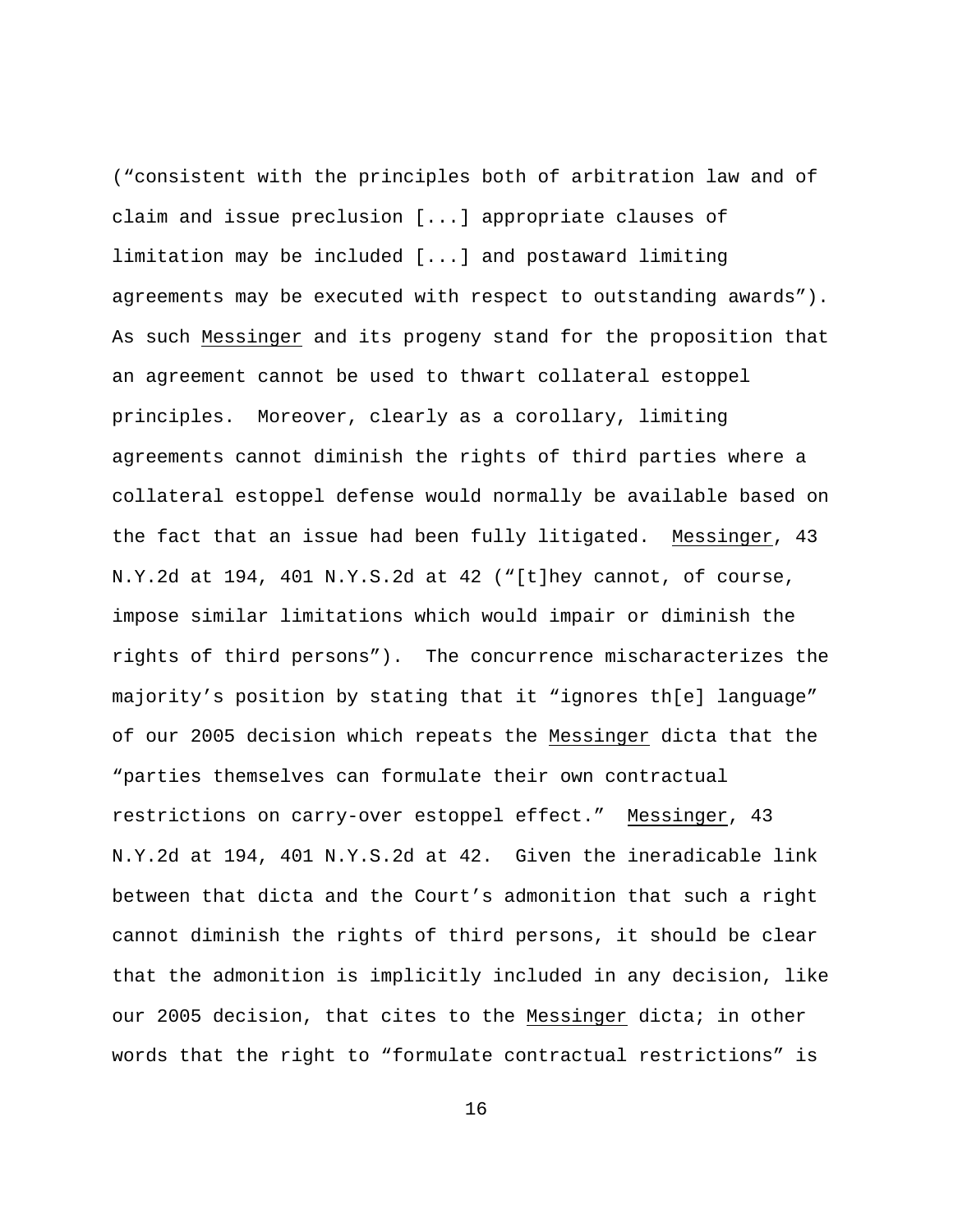("consistent with the principles both of arbitration law and of claim and issue preclusion [...] appropriate clauses of limitation may be included [...] and postaward limiting agreements may be executed with respect to outstanding awards"). As such Messinger and its progeny stand for the proposition that an agreement cannot be used to thwart collateral estoppel principles. Moreover, clearly as a corollary, limiting agreements cannot diminish the rights of third parties where a collateral estoppel defense would normally be available based on the fact that an issue had been fully litigated. Messinger, 43 N.Y.2d at 194, 401 N.Y.S.2d at 42 ("[t]hey cannot, of course, impose similar limitations which would impair or diminish the rights of third persons"). The concurrence mischaracterizes the majority's position by stating that it "ignores th[e] language" of our 2005 decision which repeats the Messinger dicta that the "parties themselves can formulate their own contractual restrictions on carry-over estoppel effect." Messinger, 43 N.Y.2d at 194, 401 N.Y.S.2d at 42. Given the ineradicable link between that dicta and the Court's admonition that such a right cannot diminish the rights of third persons, it should be clear that the admonition is implicitly included in any decision, like our 2005 decision, that cites to the Messinger dicta; in other words that the right to "formulate contractual restrictions" is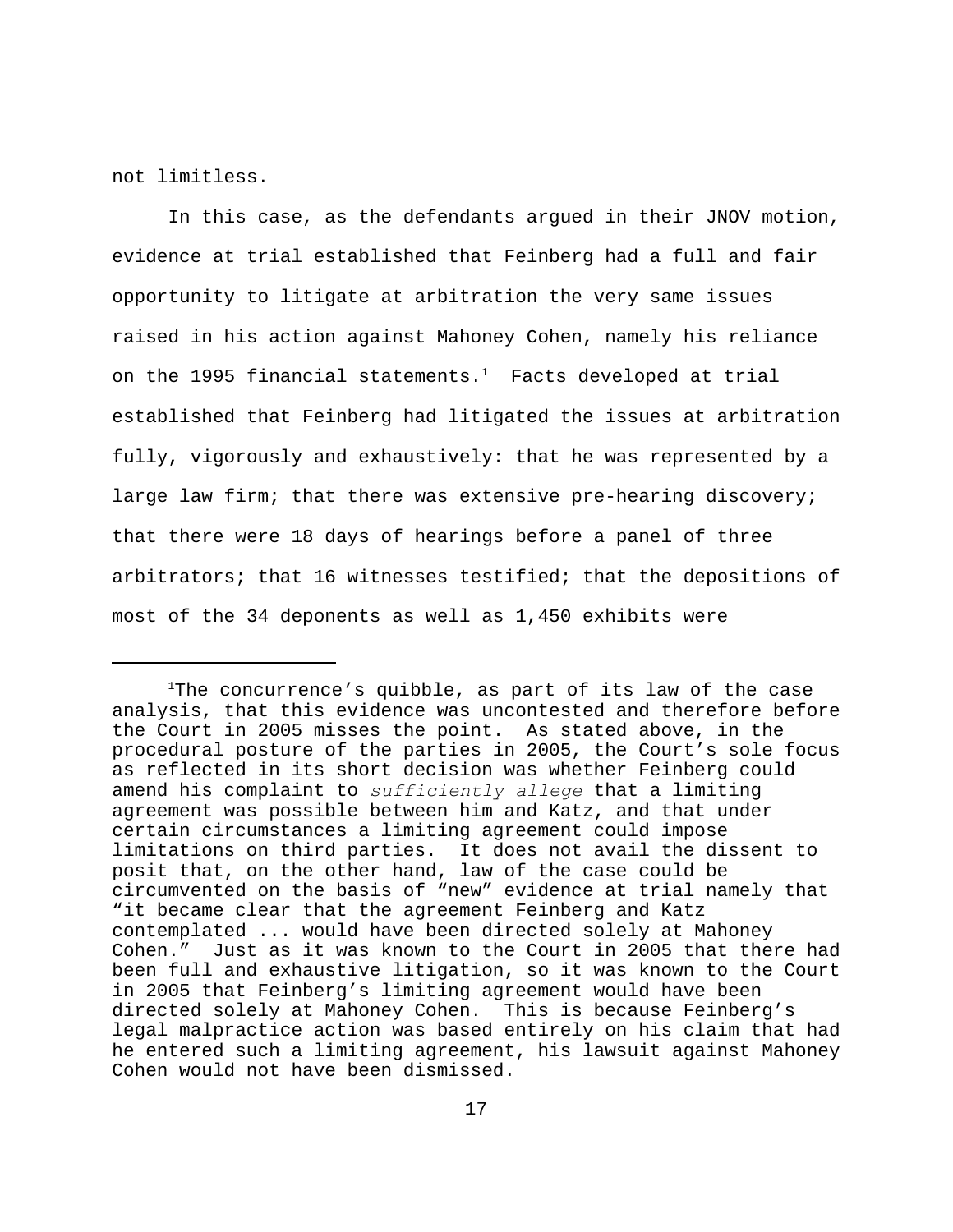not limitless.

In this case, as the defendants argued in their JNOV motion, evidence at trial established that Feinberg had a full and fair opportunity to litigate at arbitration the very same issues raised in his action against Mahoney Cohen, namely his reliance on the 1995 financial statements. $<sup>1</sup>$  Facts developed at trial</sup> established that Feinberg had litigated the issues at arbitration fully, vigorously and exhaustively: that he was represented by a large law firm; that there was extensive pre-hearing discovery; that there were 18 days of hearings before a panel of three arbitrators; that 16 witnesses testified; that the depositions of most of the 34 deponents as well as 1,450 exhibits were

 $1$ The concurrence's quibble, as part of its law of the case analysis, that this evidence was uncontested and therefore before the Court in 2005 misses the point. As stated above, in the procedural posture of the parties in 2005, the Court's sole focus as reflected in its short decision was whether Feinberg could amend his complaint to *sufficiently allege* that a limiting agreement was possible between him and Katz, and that under certain circumstances a limiting agreement could impose limitations on third parties. It does not avail the dissent to posit that, on the other hand, law of the case could be circumvented on the basis of "new" evidence at trial namely that "it became clear that the agreement Feinberg and Katz contemplated ... would have been directed solely at Mahoney Cohen." Just as it was known to the Court in 2005 that there had been full and exhaustive litigation, so it was known to the Court in 2005 that Feinberg's limiting agreement would have been directed solely at Mahoney Cohen. This is because Feinberg's legal malpractice action was based entirely on his claim that had he entered such a limiting agreement, his lawsuit against Mahoney Cohen would not have been dismissed.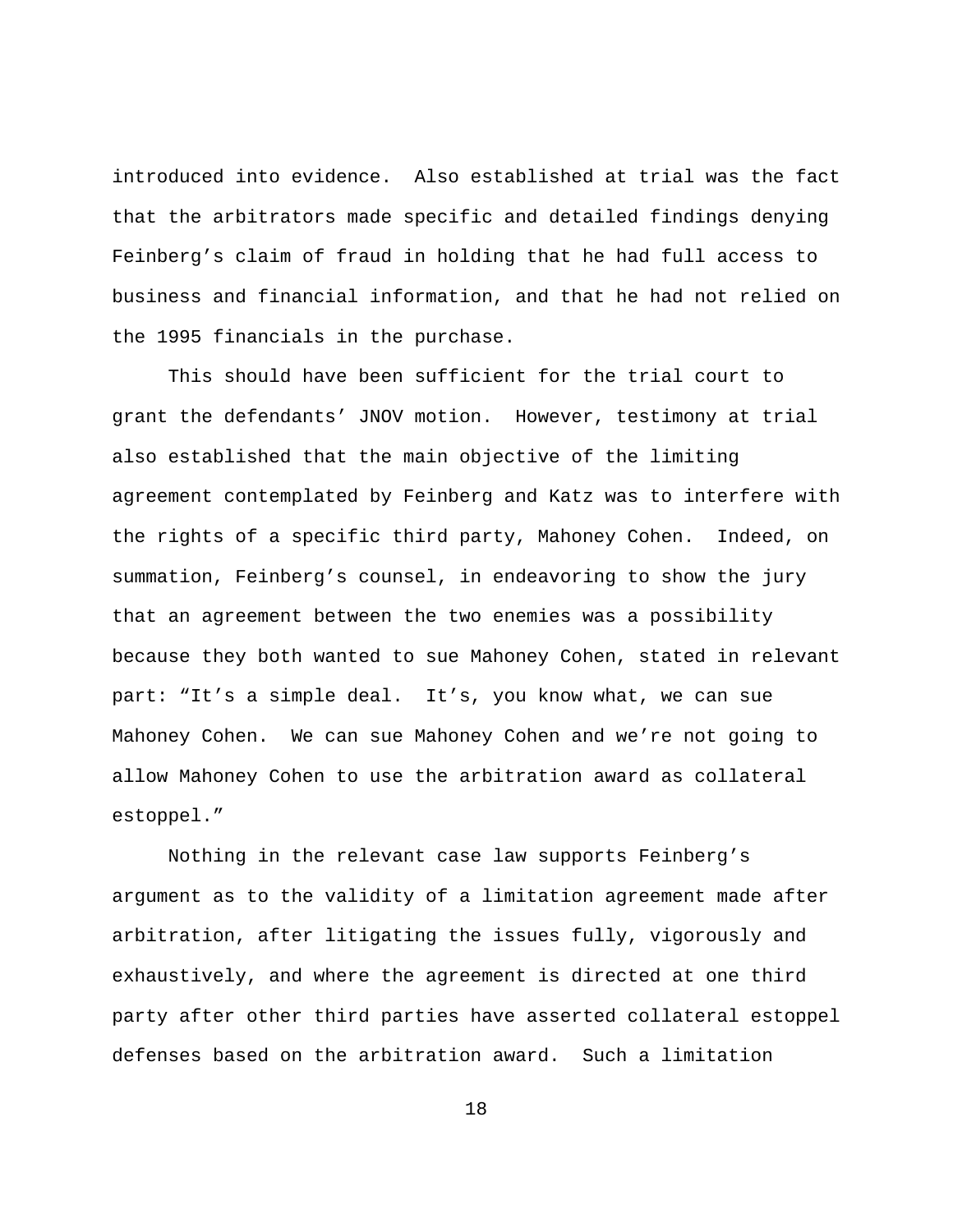introduced into evidence. Also established at trial was the fact that the arbitrators made specific and detailed findings denying Feinberg's claim of fraud in holding that he had full access to business and financial information, and that he had not relied on the 1995 financials in the purchase.

This should have been sufficient for the trial court to grant the defendants' JNOV motion. However, testimony at trial also established that the main objective of the limiting agreement contemplated by Feinberg and Katz was to interfere with the rights of a specific third party, Mahoney Cohen. Indeed, on summation, Feinberg's counsel, in endeavoring to show the jury that an agreement between the two enemies was a possibility because they both wanted to sue Mahoney Cohen, stated in relevant part: "It's a simple deal. It's, you know what, we can sue Mahoney Cohen. We can sue Mahoney Cohen and we're not going to allow Mahoney Cohen to use the arbitration award as collateral estoppel."

Nothing in the relevant case law supports Feinberg's argument as to the validity of a limitation agreement made after arbitration, after litigating the issues fully, vigorously and exhaustively, and where the agreement is directed at one third party after other third parties have asserted collateral estoppel defenses based on the arbitration award. Such a limitation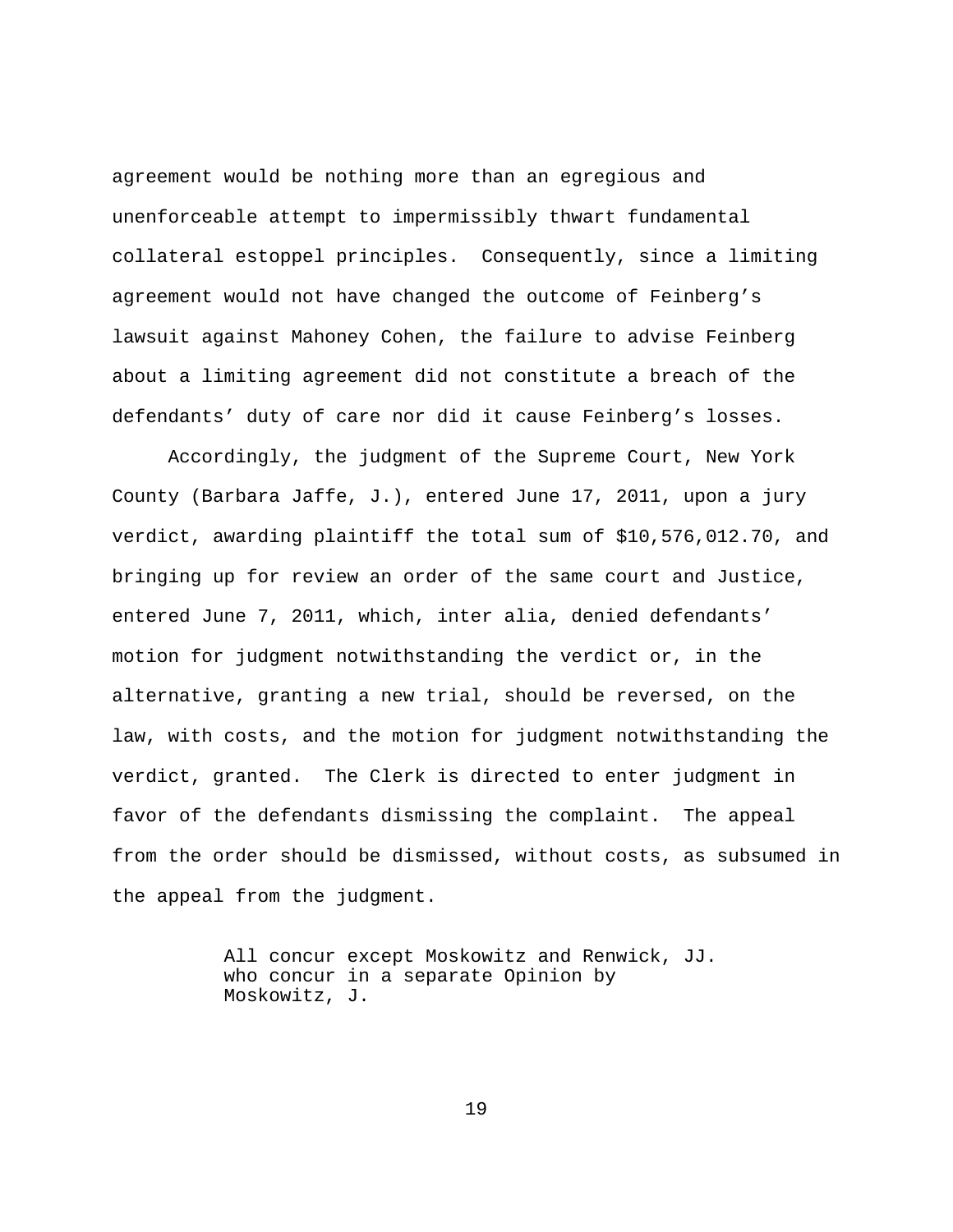agreement would be nothing more than an egregious and unenforceable attempt to impermissibly thwart fundamental collateral estoppel principles. Consequently, since a limiting agreement would not have changed the outcome of Feinberg's lawsuit against Mahoney Cohen, the failure to advise Feinberg about a limiting agreement did not constitute a breach of the defendants' duty of care nor did it cause Feinberg's losses.

Accordingly, the judgment of the Supreme Court, New York County (Barbara Jaffe, J.), entered June 17, 2011, upon a jury verdict, awarding plaintiff the total sum of \$10,576,012.70, and bringing up for review an order of the same court and Justice, entered June 7, 2011, which, inter alia, denied defendants' motion for judgment notwithstanding the verdict or, in the alternative, granting a new trial, should be reversed, on the law, with costs, and the motion for judgment notwithstanding the verdict, granted. The Clerk is directed to enter judgment in favor of the defendants dismissing the complaint. The appeal from the order should be dismissed, without costs, as subsumed in the appeal from the judgment.

> All concur except Moskowitz and Renwick, JJ. who concur in a separate Opinion by Moskowitz, J.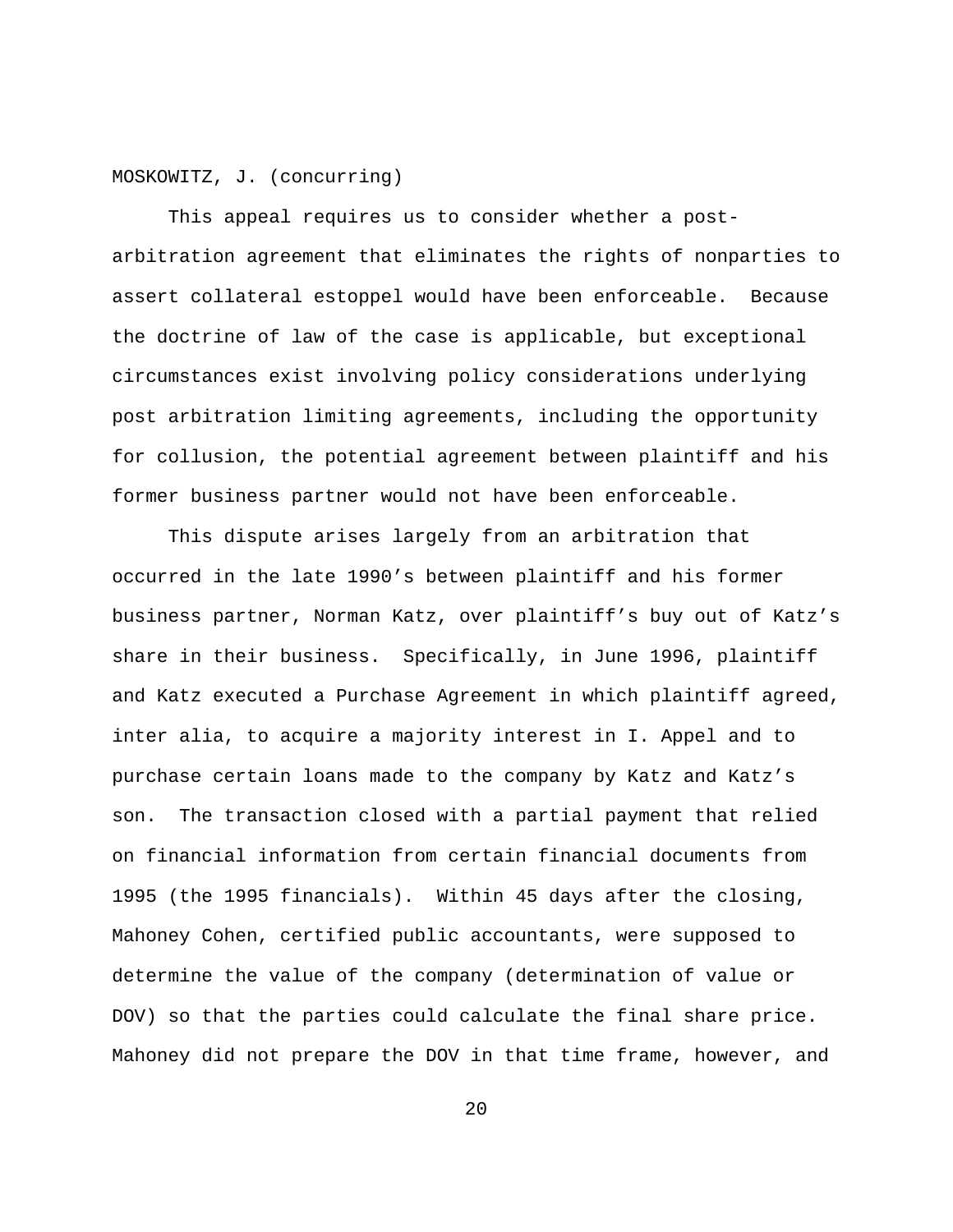MOSKOWITZ, J. (concurring)

This appeal requires us to consider whether a postarbitration agreement that eliminates the rights of nonparties to assert collateral estoppel would have been enforceable. Because the doctrine of law of the case is applicable, but exceptional circumstances exist involving policy considerations underlying post arbitration limiting agreements, including the opportunity for collusion, the potential agreement between plaintiff and his former business partner would not have been enforceable.

This dispute arises largely from an arbitration that occurred in the late 1990's between plaintiff and his former business partner, Norman Katz, over plaintiff's buy out of Katz's share in their business. Specifically, in June 1996, plaintiff and Katz executed a Purchase Agreement in which plaintiff agreed, inter alia, to acquire a majority interest in I. Appel and to purchase certain loans made to the company by Katz and Katz's son. The transaction closed with a partial payment that relied on financial information from certain financial documents from 1995 (the 1995 financials). Within 45 days after the closing, Mahoney Cohen, certified public accountants, were supposed to determine the value of the company (determination of value or DOV) so that the parties could calculate the final share price. Mahoney did not prepare the DOV in that time frame, however, and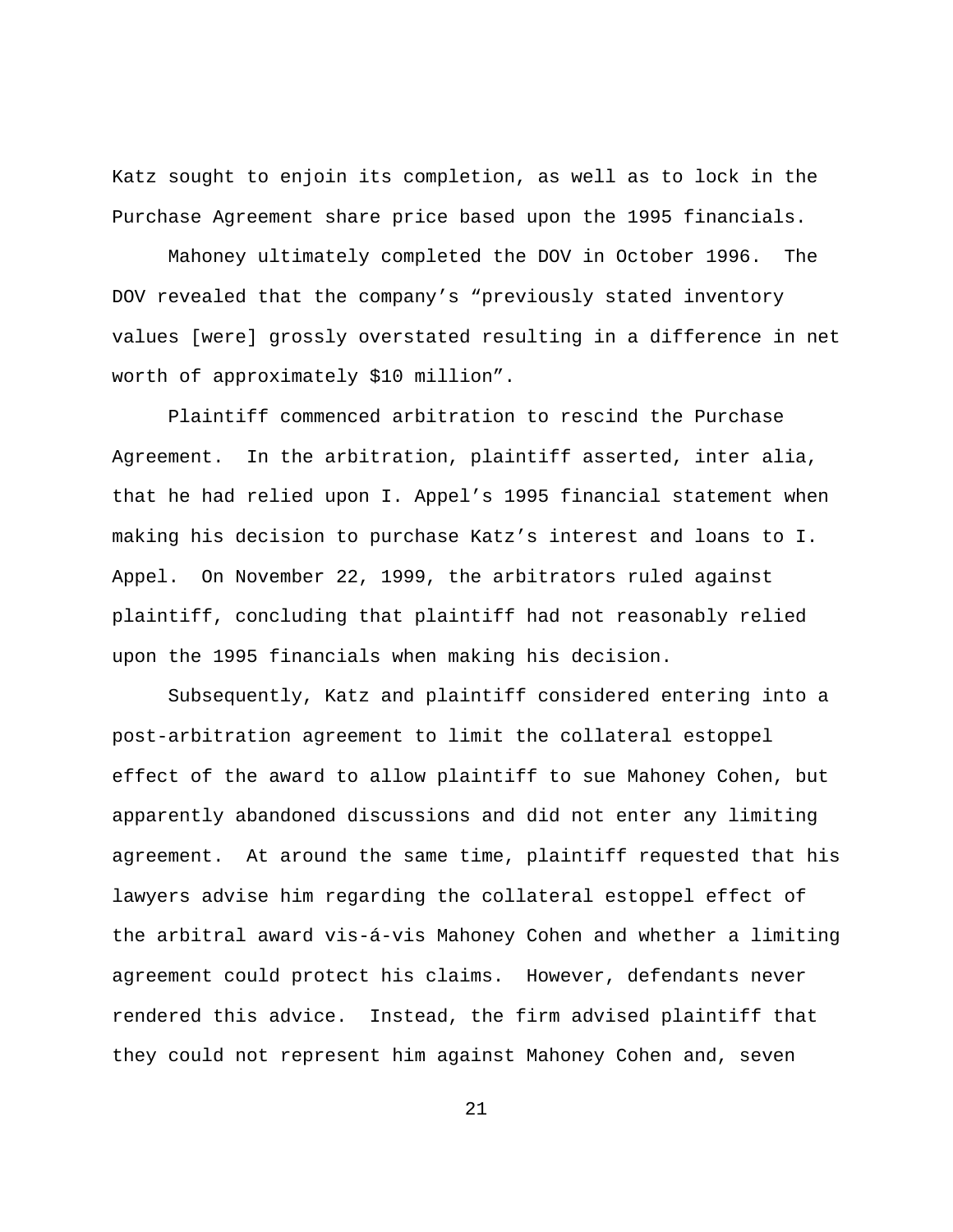Katz sought to enjoin its completion, as well as to lock in the Purchase Agreement share price based upon the 1995 financials.

Mahoney ultimately completed the DOV in October 1996. The DOV revealed that the company's "previously stated inventory values [were] grossly overstated resulting in a difference in net worth of approximately \$10 million".

Plaintiff commenced arbitration to rescind the Purchase Agreement. In the arbitration, plaintiff asserted, inter alia, that he had relied upon I. Appel's 1995 financial statement when making his decision to purchase Katz's interest and loans to I. Appel. On November 22, 1999, the arbitrators ruled against plaintiff, concluding that plaintiff had not reasonably relied upon the 1995 financials when making his decision.

Subsequently, Katz and plaintiff considered entering into a post-arbitration agreement to limit the collateral estoppel effect of the award to allow plaintiff to sue Mahoney Cohen, but apparently abandoned discussions and did not enter any limiting agreement. At around the same time, plaintiff requested that his lawyers advise him regarding the collateral estoppel effect of the arbitral award vis-á-vis Mahoney Cohen and whether a limiting agreement could protect his claims. However, defendants never rendered this advice. Instead, the firm advised plaintiff that they could not represent him against Mahoney Cohen and, seven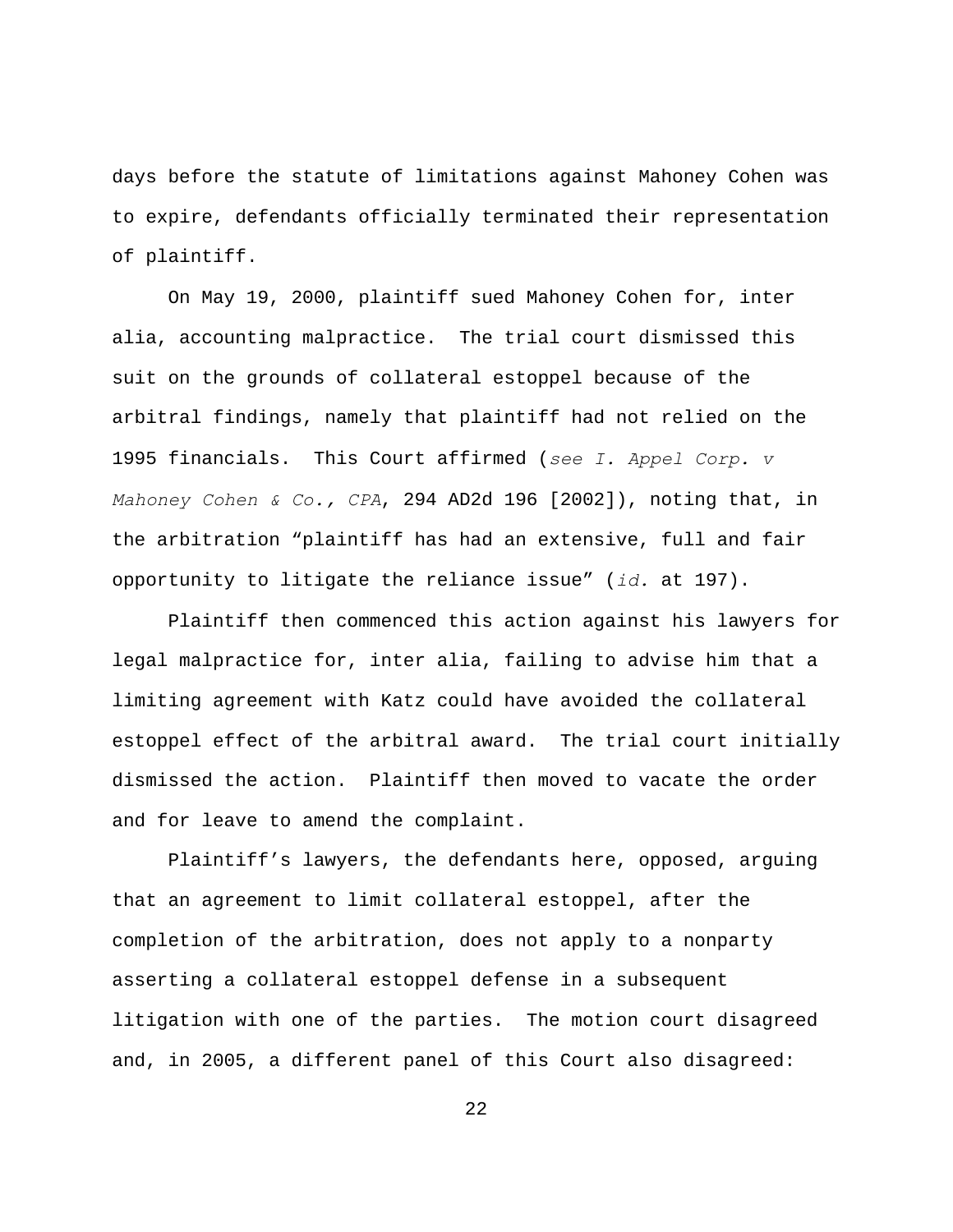days before the statute of limitations against Mahoney Cohen was to expire, defendants officially terminated their representation of plaintiff.

On May 19, 2000, plaintiff sued Mahoney Cohen for, inter alia, accounting malpractice. The trial court dismissed this suit on the grounds of collateral estoppel because of the arbitral findings, namely that plaintiff had not relied on the 1995 financials. This Court affirmed (*see I. Appel Corp. v Mahoney Cohen & Co., CPA*, 294 AD2d 196 [2002]), noting that, in the arbitration "plaintiff has had an extensive, full and fair opportunity to litigate the reliance issue" (*id.* at 197).

Plaintiff then commenced this action against his lawyers for legal malpractice for, inter alia, failing to advise him that a limiting agreement with Katz could have avoided the collateral estoppel effect of the arbitral award. The trial court initially dismissed the action. Plaintiff then moved to vacate the order and for leave to amend the complaint.

Plaintiff's lawyers, the defendants here, opposed, arguing that an agreement to limit collateral estoppel, after the completion of the arbitration, does not apply to a nonparty asserting a collateral estoppel defense in a subsequent litigation with one of the parties. The motion court disagreed and, in 2005, a different panel of this Court also disagreed: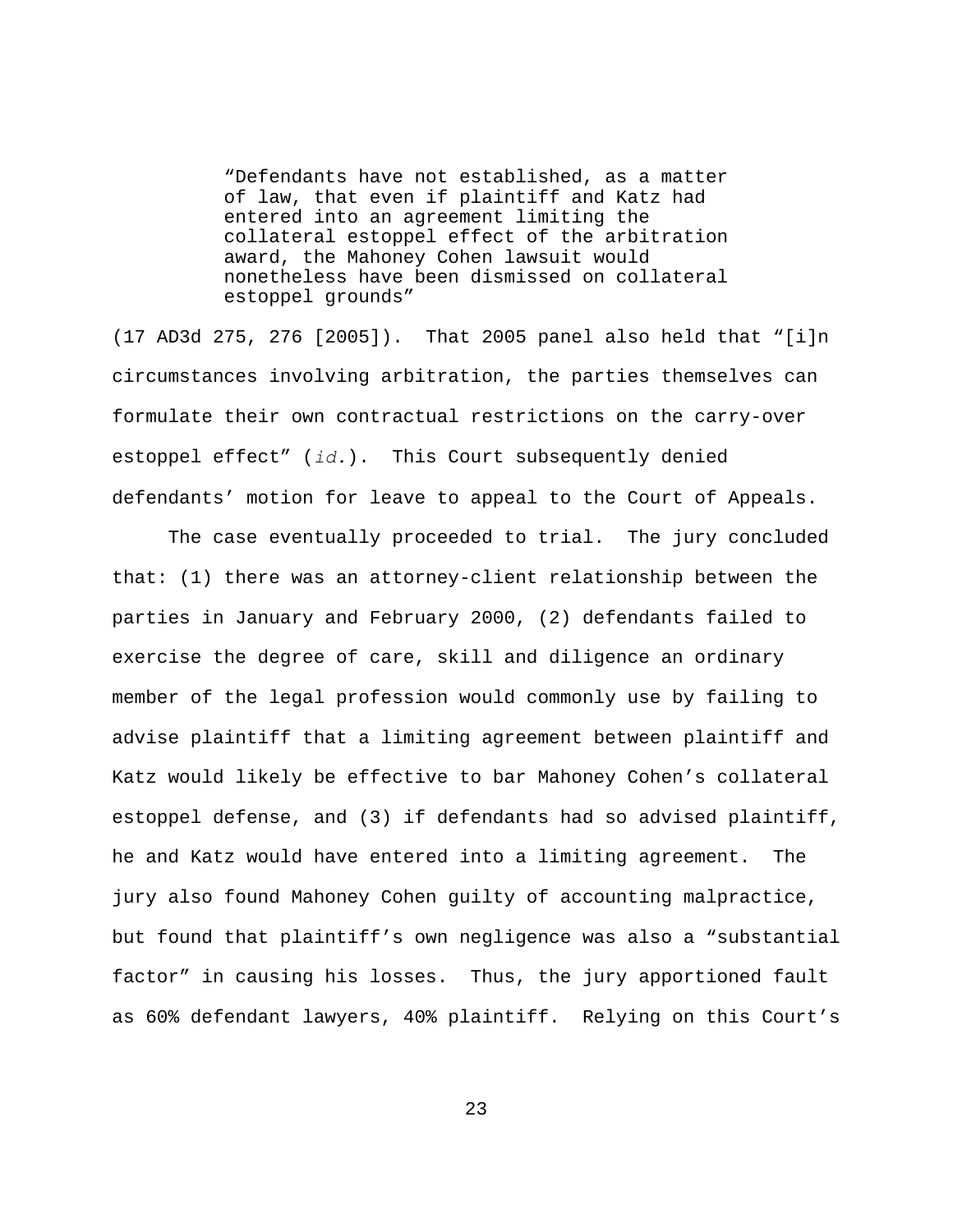"Defendants have not established, as a matter of law, that even if plaintiff and Katz had entered into an agreement limiting the collateral estoppel effect of the arbitration award, the Mahoney Cohen lawsuit would nonetheless have been dismissed on collateral estoppel grounds"

(17 AD3d 275, 276 [2005]). That 2005 panel also held that "[i]n circumstances involving arbitration, the parties themselves can formulate their own contractual restrictions on the carry-over estoppel effect" (*id.*). This Court subsequently denied defendants' motion for leave to appeal to the Court of Appeals.

The case eventually proceeded to trial. The jury concluded that: (1) there was an attorney-client relationship between the parties in January and February 2000, (2) defendants failed to exercise the degree of care, skill and diligence an ordinary member of the legal profession would commonly use by failing to advise plaintiff that a limiting agreement between plaintiff and Katz would likely be effective to bar Mahoney Cohen's collateral estoppel defense, and (3) if defendants had so advised plaintiff, he and Katz would have entered into a limiting agreement. The jury also found Mahoney Cohen guilty of accounting malpractice, but found that plaintiff's own negligence was also a "substantial factor" in causing his losses. Thus, the jury apportioned fault as 60% defendant lawyers, 40% plaintiff. Relying on this Court's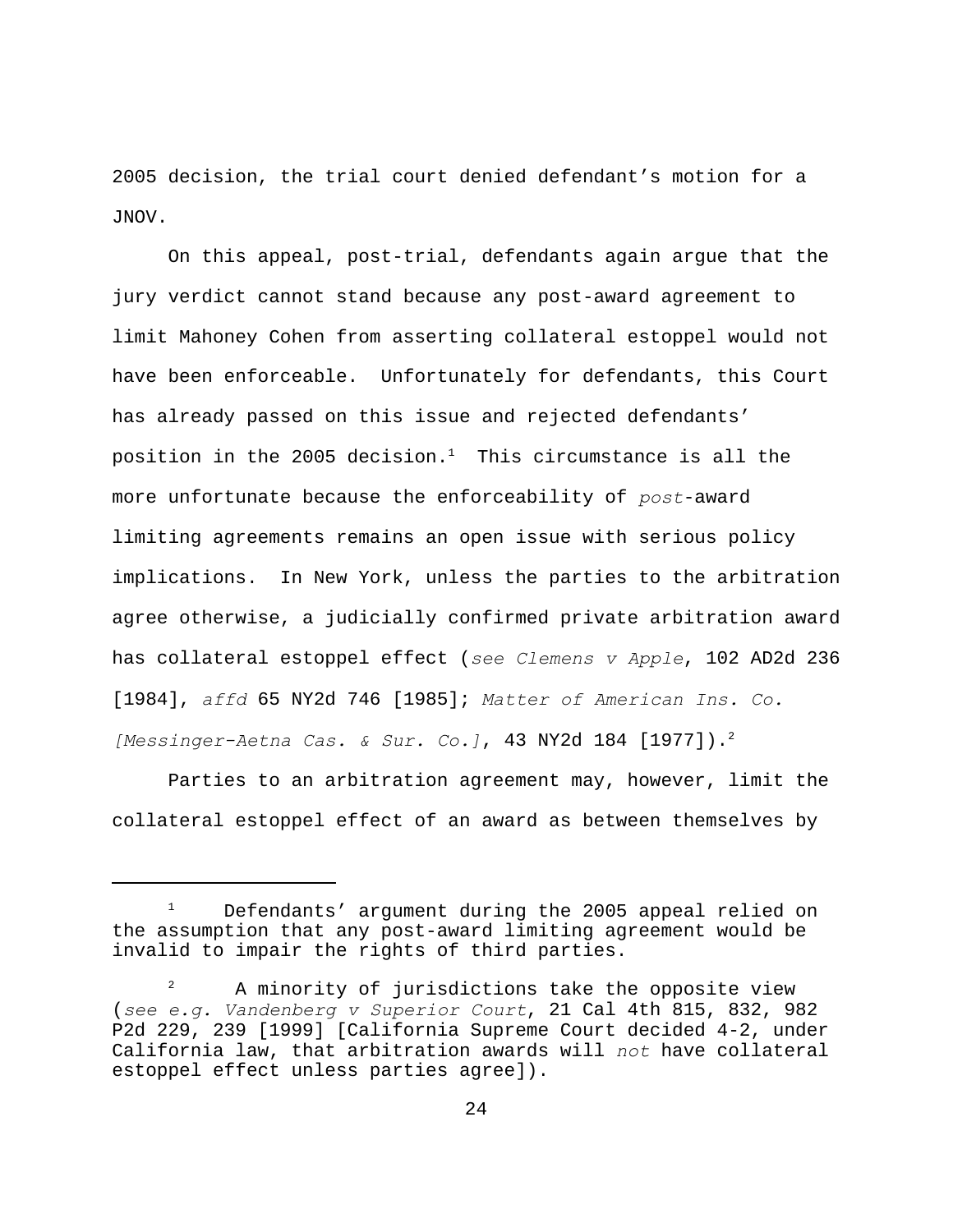2005 decision, the trial court denied defendant's motion for a JNOV.

On this appeal, post-trial, defendants again argue that the jury verdict cannot stand because any post-award agreement to limit Mahoney Cohen from asserting collateral estoppel would not have been enforceable. Unfortunately for defendants, this Court has already passed on this issue and rejected defendants' position in the 2005 decision.<sup>1</sup> This circumstance is all the more unfortunate because the enforceability of *post*-award limiting agreements remains an open issue with serious policy implications. In New York, unless the parties to the arbitration agree otherwise, a judicially confirmed private arbitration award has collateral estoppel effect (*see Clemens v Apple*, 102 AD2d 236 [1984], *affd* 65 NY2d 746 [1985]; *Matter of American Ins. Co. [Messinger-Aetna Cas. & Sur. Co.]*, 43 NY2d 184 [1977]). <sup>2</sup>

Parties to an arbitration agreement may, however, limit the collateral estoppel effect of an award as between themselves by

 $1$  Defendants' argument during the 2005 appeal relied on the assumption that any post-award limiting agreement would be invalid to impair the rights of third parties.

A minority of jurisdictions take the opposite view (*see e.g. Vandenberg v Superior Court*, 21 Cal 4th 815, 832, 982 P2d 229, 239 [1999] [California Supreme Court decided 4-2, under California law, that arbitration awards will *not* have collateral estoppel effect unless parties agree]).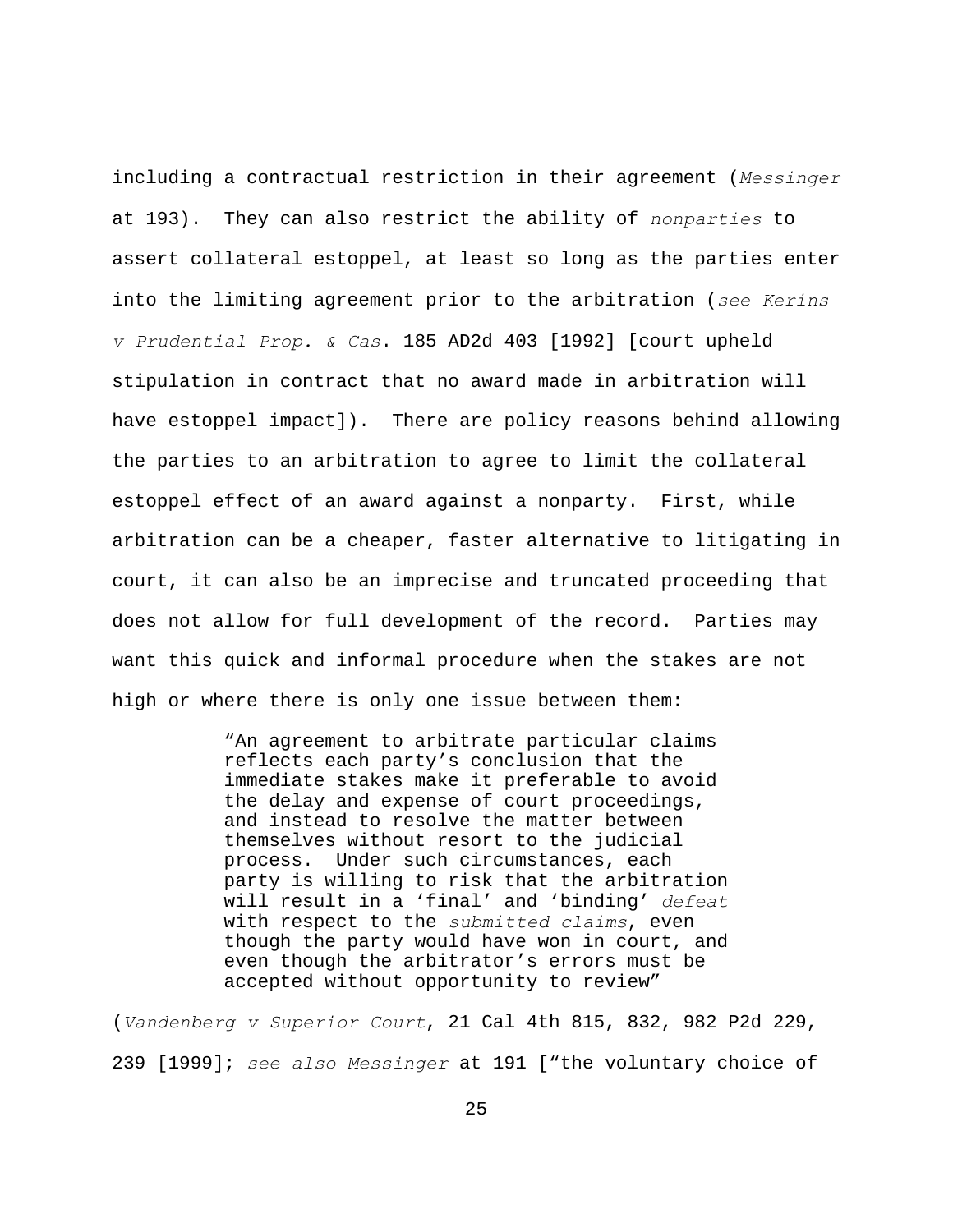including a contractual restriction in their agreement (*Messinger* at 193). They can also restrict the ability of *nonparties* to assert collateral estoppel, at least so long as the parties enter into the limiting agreement prior to the arbitration (*see Kerins v Prudential Prop. & Cas*. 185 AD2d 403 [1992] [court upheld stipulation in contract that no award made in arbitration will have estoppel impact]). There are policy reasons behind allowing the parties to an arbitration to agree to limit the collateral estoppel effect of an award against a nonparty. First, while arbitration can be a cheaper, faster alternative to litigating in court, it can also be an imprecise and truncated proceeding that does not allow for full development of the record. Parties may want this quick and informal procedure when the stakes are not high or where there is only one issue between them:

> "An agreement to arbitrate particular claims reflects each party's conclusion that the immediate stakes make it preferable to avoid the delay and expense of court proceedings, and instead to resolve the matter between themselves without resort to the judicial process. Under such circumstances, each party is willing to risk that the arbitration will result in a 'final' and 'binding' *defeat* with respect to the *submitted claims*, even though the party would have won in court, and even though the arbitrator's errors must be accepted without opportunity to review"

(*Vandenberg v Superior Court*, 21 Cal 4th 815, 832, 982 P2d 229, 239 [1999]; *see also Messinger* at 191 ["the voluntary choice of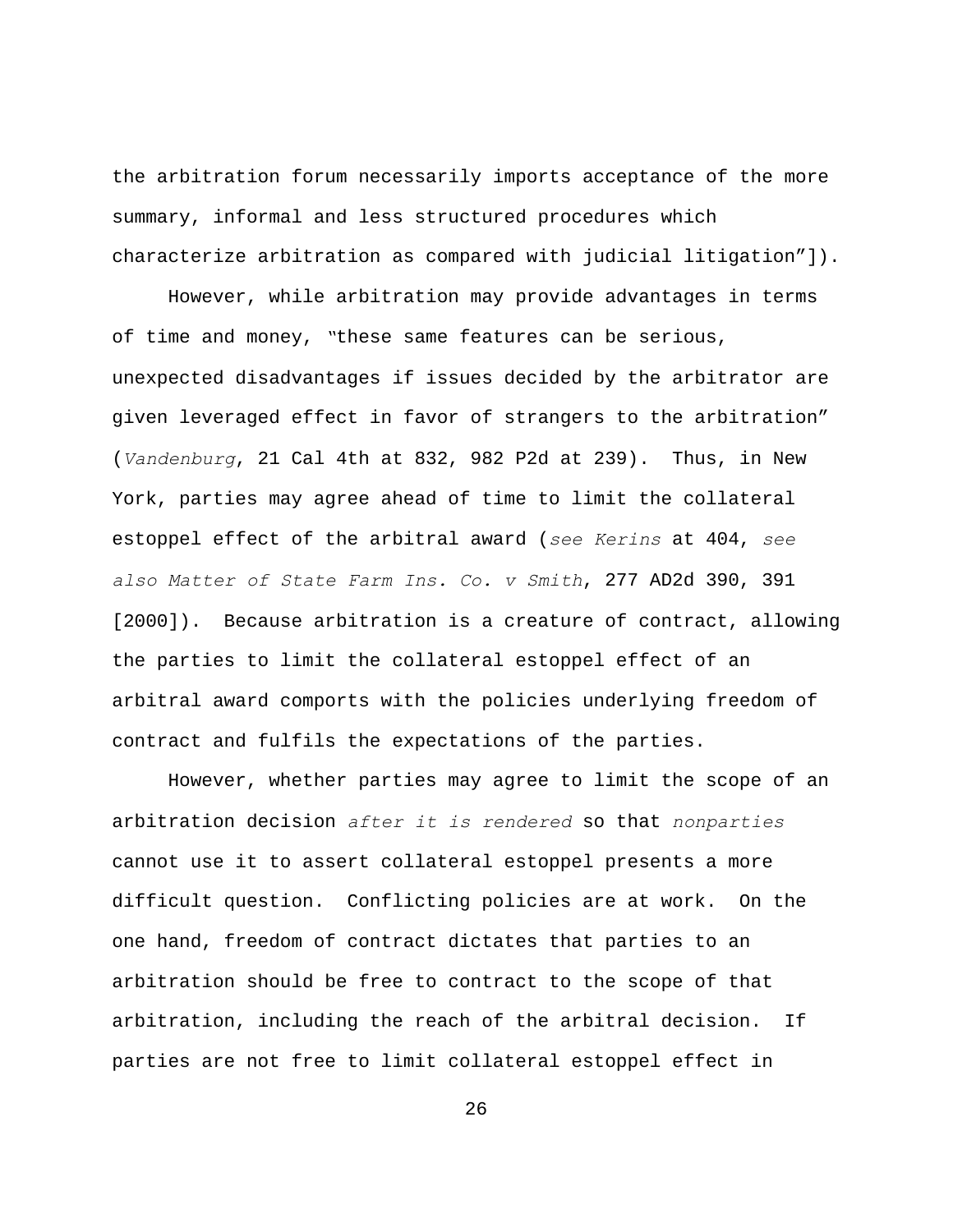the arbitration forum necessarily imports acceptance of the more summary, informal and less structured procedures which characterize arbitration as compared with judicial litigation"]).

However, while arbitration may provide advantages in terms of time and money, *"*these same features can be serious, unexpected disadvantages if issues decided by the arbitrator are given leveraged effect in favor of strangers to the arbitration" (*Vandenburg*, 21 Cal 4th at 832, 982 P2d at 239). Thus, in New York, parties may agree ahead of time to limit the collateral estoppel effect of the arbitral award (*see Kerins* at 404, *see also Matter of State Farm Ins. Co. v Smith*, 277 AD2d 390, 391 [2000]). Because arbitration is a creature of contract, allowing the parties to limit the collateral estoppel effect of an arbitral award comports with the policies underlying freedom of contract and fulfils the expectations of the parties.

However, whether parties may agree to limit the scope of an arbitration decision *after it is rendered* so that *nonparties* cannot use it to assert collateral estoppel presents a more difficult question. Conflicting policies are at work. On the one hand, freedom of contract dictates that parties to an arbitration should be free to contract to the scope of that arbitration, including the reach of the arbitral decision. If parties are not free to limit collateral estoppel effect in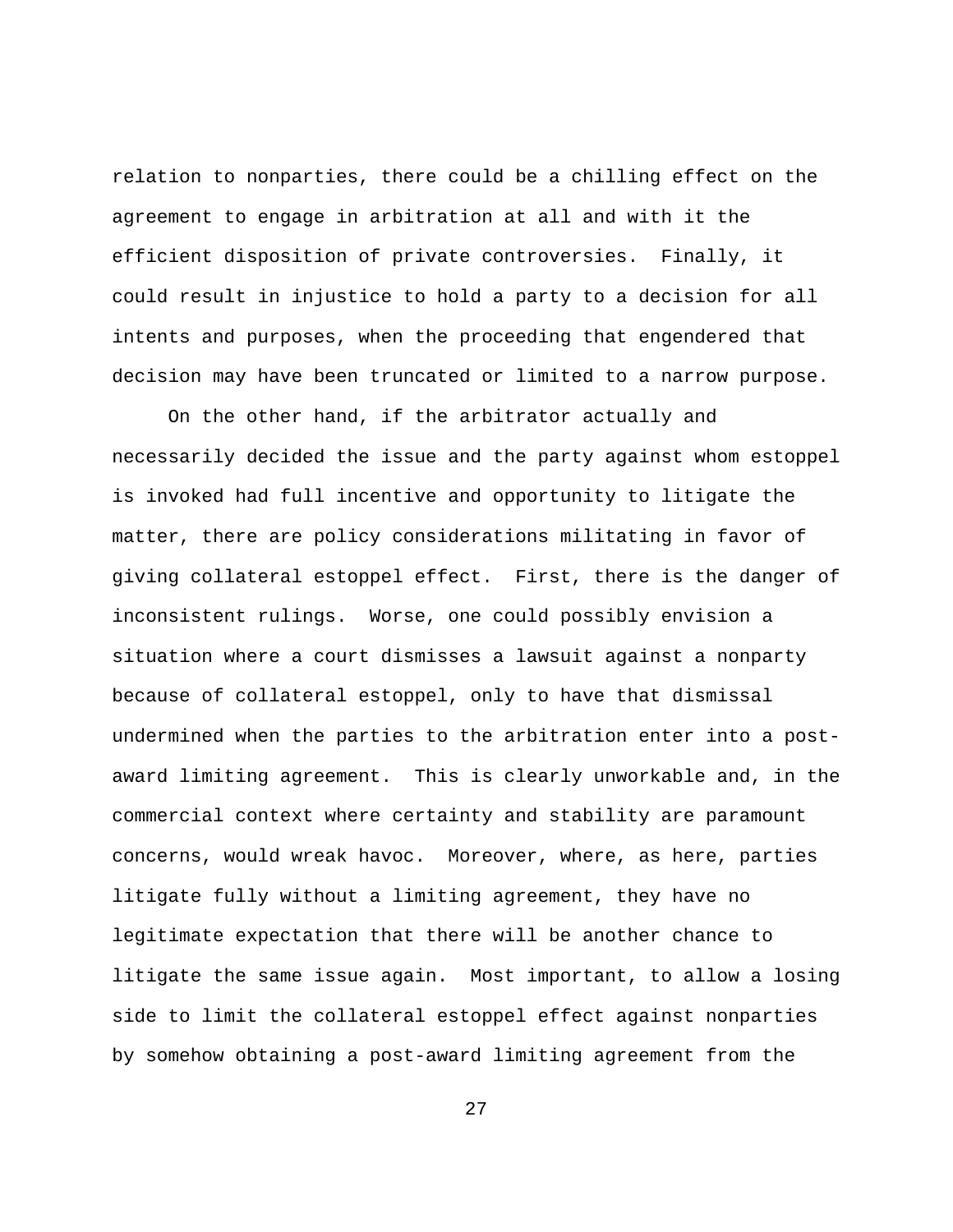relation to nonparties, there could be a chilling effect on the agreement to engage in arbitration at all and with it the efficient disposition of private controversies. Finally, it could result in injustice to hold a party to a decision for all intents and purposes, when the proceeding that engendered that decision may have been truncated or limited to a narrow purpose.

On the other hand, if the arbitrator actually and necessarily decided the issue and the party against whom estoppel is invoked had full incentive and opportunity to litigate the matter, there are policy considerations militating in favor of giving collateral estoppel effect. First, there is the danger of inconsistent rulings. Worse, one could possibly envision a situation where a court dismisses a lawsuit against a nonparty because of collateral estoppel, only to have that dismissal undermined when the parties to the arbitration enter into a postaward limiting agreement. This is clearly unworkable and, in the commercial context where certainty and stability are paramount concerns, would wreak havoc. Moreover, where, as here, parties litigate fully without a limiting agreement, they have no legitimate expectation that there will be another chance to litigate the same issue again. Most important, to allow a losing side to limit the collateral estoppel effect against nonparties by somehow obtaining a post-award limiting agreement from the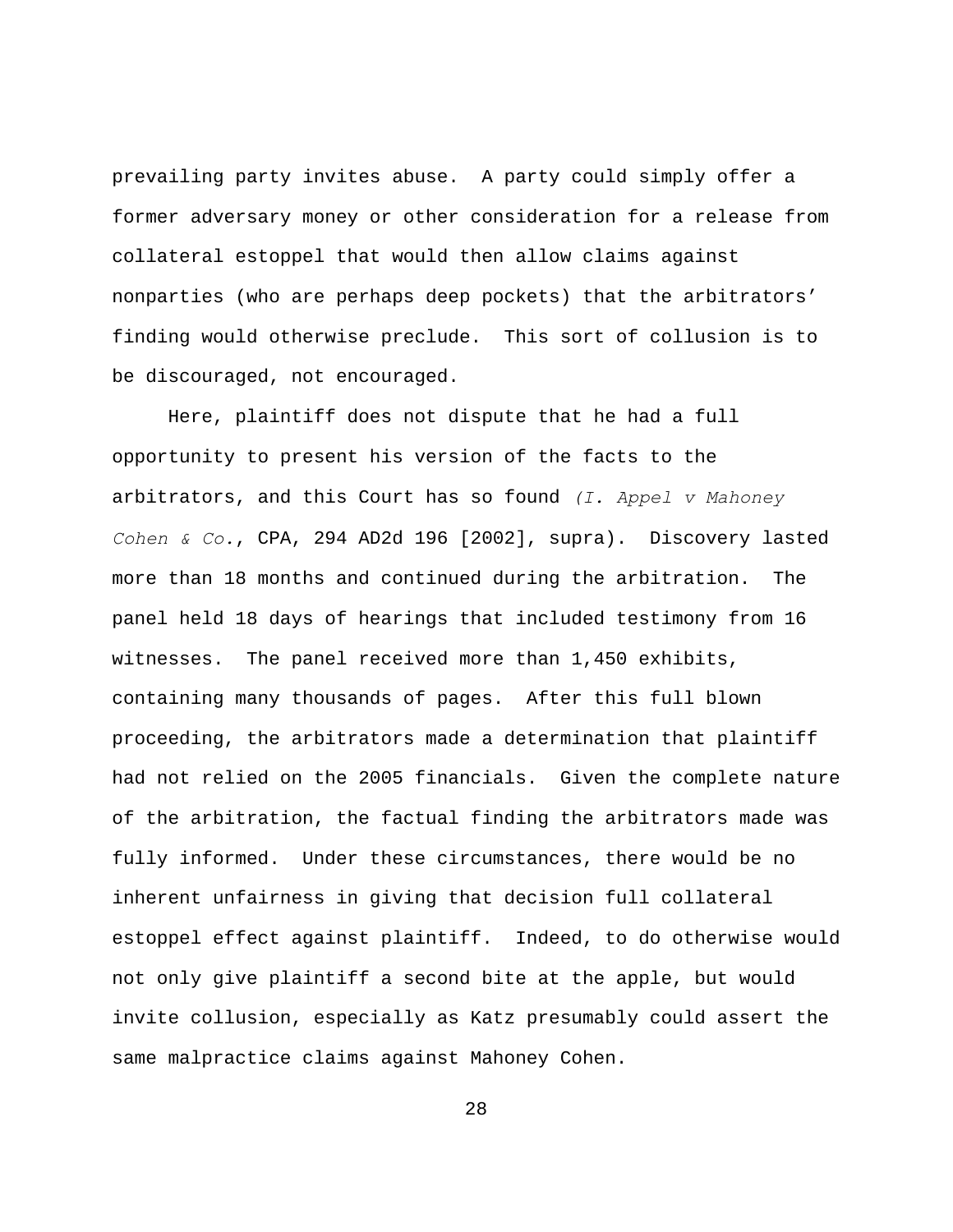prevailing party invites abuse. A party could simply offer a former adversary money or other consideration for a release from collateral estoppel that would then allow claims against nonparties (who are perhaps deep pockets) that the arbitrators' finding would otherwise preclude. This sort of collusion is to be discouraged, not encouraged.

Here, plaintiff does not dispute that he had a full opportunity to present his version of the facts to the arbitrators, and this Court has so found *(I. Appel v Mahoney Cohen & Co.*, CPA, 294 AD2d 196 [2002], supra). Discovery lasted more than 18 months and continued during the arbitration. The panel held 18 days of hearings that included testimony from 16 witnesses. The panel received more than 1,450 exhibits, containing many thousands of pages. After this full blown proceeding, the arbitrators made a determination that plaintiff had not relied on the 2005 financials. Given the complete nature of the arbitration, the factual finding the arbitrators made was fully informed. Under these circumstances, there would be no inherent unfairness in giving that decision full collateral estoppel effect against plaintiff. Indeed, to do otherwise would not only give plaintiff a second bite at the apple, but would invite collusion, especially as Katz presumably could assert the same malpractice claims against Mahoney Cohen.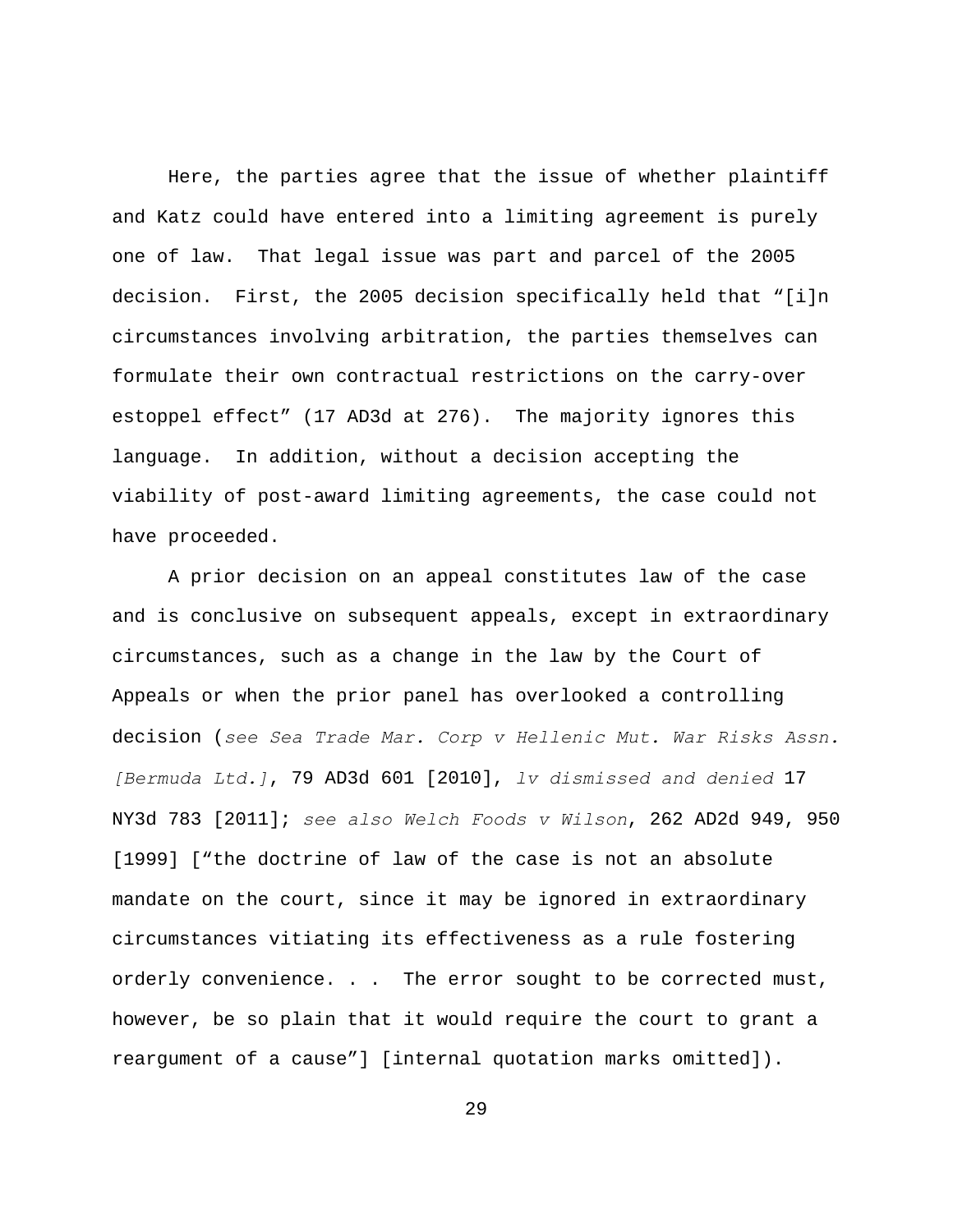Here, the parties agree that the issue of whether plaintiff and Katz could have entered into a limiting agreement is purely one of law. That legal issue was part and parcel of the 2005 decision. First, the 2005 decision specifically held that "[i]n circumstances involving arbitration, the parties themselves can formulate their own contractual restrictions on the carry-over estoppel effect" (17 AD3d at 276). The majority ignores this language. In addition, without a decision accepting the viability of post-award limiting agreements, the case could not have proceeded.

A prior decision on an appeal constitutes law of the case and is conclusive on subsequent appeals, except in extraordinary circumstances, such as a change in the law by the Court of Appeals or when the prior panel has overlooked a controlling decision (*see Sea Trade Mar. Corp v Hellenic Mut. War Risks Assn. [Bermuda Ltd.]*, 79 AD3d 601 [2010], *lv dismissed and denied* 17 NY3d 783 [2011]; *see also Welch Foods v Wilson*, 262 AD2d 949, 950 [1999] ["the doctrine of law of the case is not an absolute mandate on the court, since it may be ignored in extraordinary circumstances vitiating its effectiveness as a rule fostering orderly convenience. . . The error sought to be corrected must, however, be so plain that it would require the court to grant a reargument of a cause"] [internal quotation marks omitted]).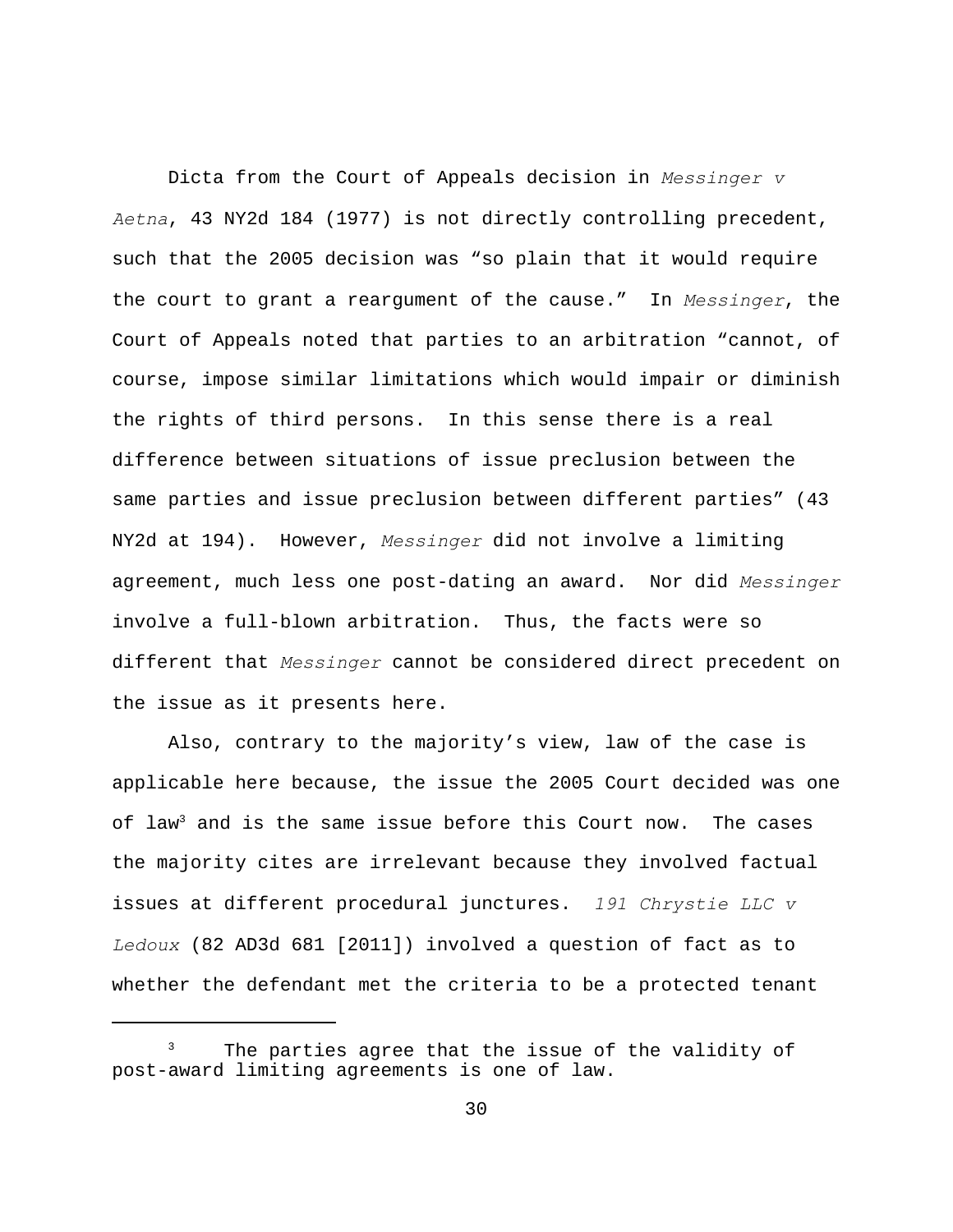Dicta from the Court of Appeals decision in *Messinger v Aetna*, 43 NY2d 184 (1977) is not directly controlling precedent, such that the 2005 decision was "so plain that it would require the court to grant a reargument of the cause." In *Messinger*, the Court of Appeals noted that parties to an arbitration "cannot, of course, impose similar limitations which would impair or diminish the rights of third persons. In this sense there is a real difference between situations of issue preclusion between the same parties and issue preclusion between different parties" (43 NY2d at 194). However, *Messinger* did not involve a limiting agreement, much less one post-dating an award. Nor did *Messinger* involve a full-blown arbitration. Thus, the facts were so different that *Messinger* cannot be considered direct precedent on the issue as it presents here.

Also, contrary to the majority's view, law of the case is applicable here because, the issue the 2005 Court decided was one of law<sup>3</sup> and is the same issue before this Court now. The cases the majority cites are irrelevant because they involved factual issues at different procedural junctures. *191 Chrystie LLC v Ledoux* (82 AD3d 681 [2011]) involved a question of fact as to whether the defendant met the criteria to be a protected tenant

 $3$  The parties agree that the issue of the validity of post-award limiting agreements is one of law.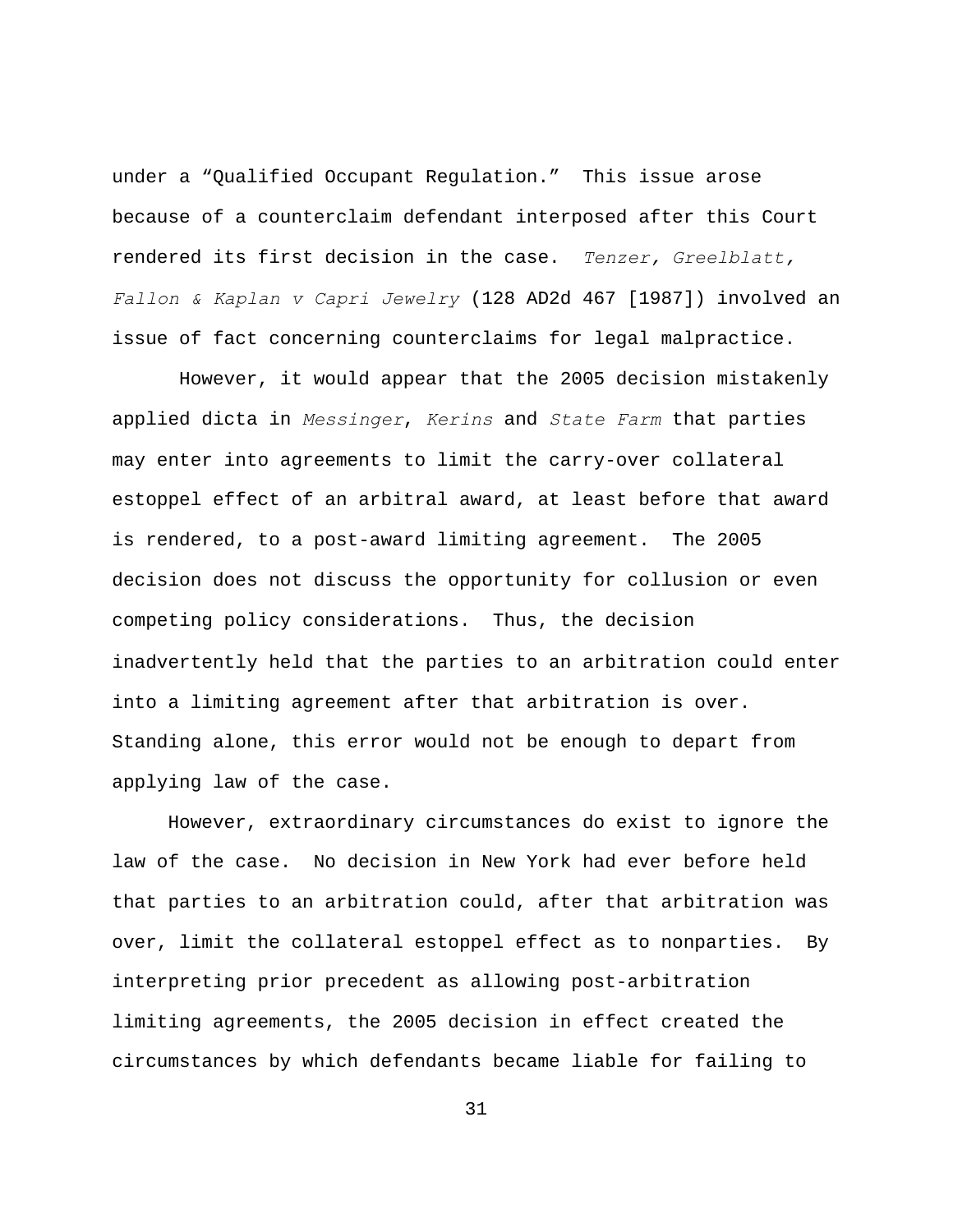under a "Qualified Occupant Regulation." This issue arose because of a counterclaim defendant interposed after this Court rendered its first decision in the case. *Tenzer, Greelblatt, Fallon & Kaplan v Capri Jewelry* (128 AD2d 467 [1987]) involved an issue of fact concerning counterclaims for legal malpractice.

 However, it would appear that the 2005 decision mistakenly applied dicta in *Messinger*, *Kerins* and *State Farm* that parties may enter into agreements to limit the carry-over collateral estoppel effect of an arbitral award, at least before that award is rendered, to a post-award limiting agreement. The 2005 decision does not discuss the opportunity for collusion or even competing policy considerations.Thus, the decision inadvertently held that the parties to an arbitration could enter into a limiting agreement after that arbitration is over. Standing alone, this error would not be enough to depart from applying law of the case.

However, extraordinary circumstances do exist to ignore the law of the case. No decision in New York had ever before held that parties to an arbitration could, after that arbitration was over, limit the collateral estoppel effect as to nonparties. By interpreting prior precedent as allowing post-arbitration limiting agreements, the 2005 decision in effect created the circumstances by which defendants became liable for failing to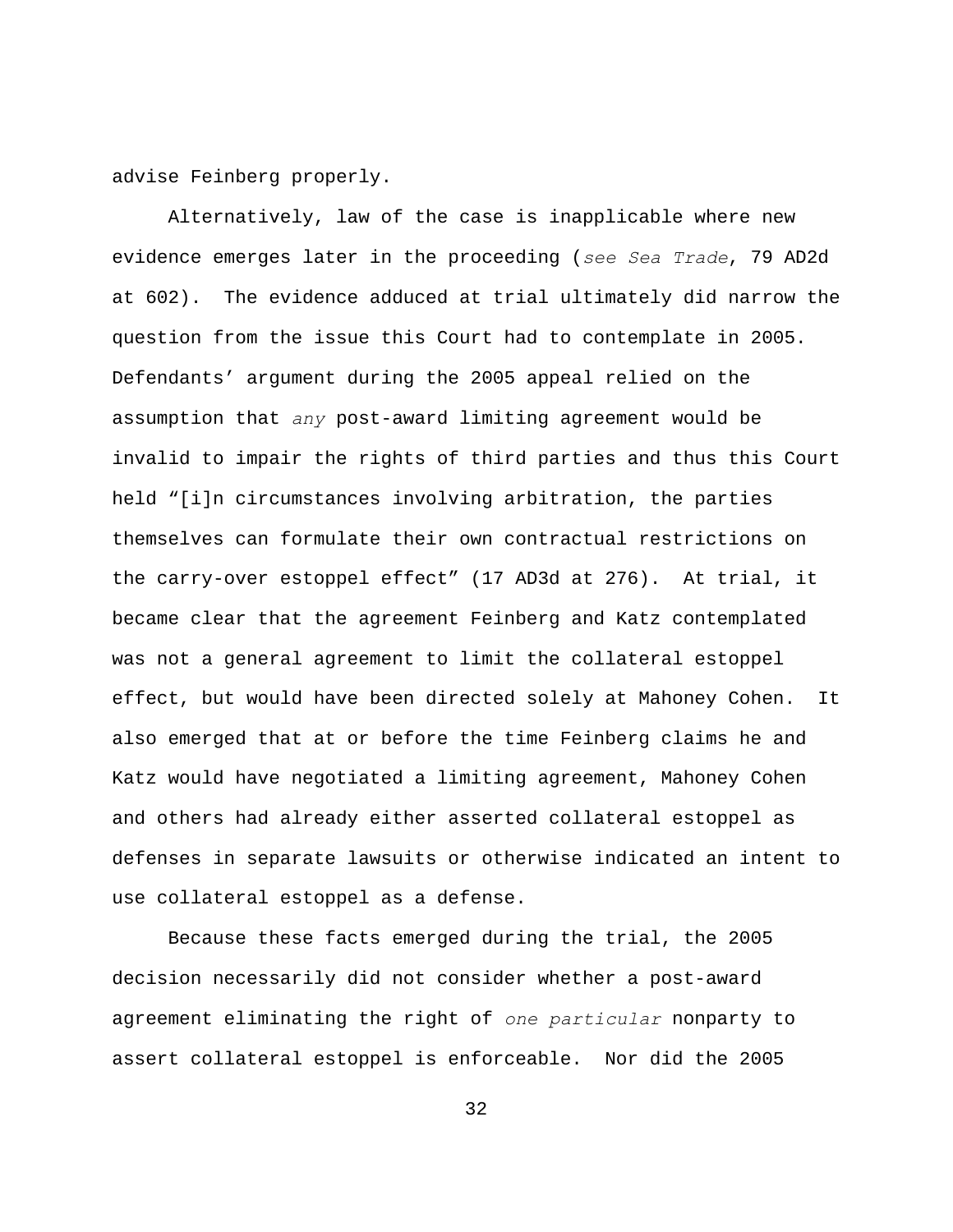advise Feinberg properly.

Alternatively, law of the case is inapplicable where new evidence emerges later in the proceeding (*see Sea Trade*, 79 AD2d at 602). The evidence adduced at trial ultimately did narrow the question from the issue this Court had to contemplate in 2005. Defendants' argument during the 2005 appeal relied on the assumption that *any* post-award limiting agreement would be invalid to impair the rights of third parties and thus this Court held "[i]n circumstances involving arbitration, the parties themselves can formulate their own contractual restrictions on the carry-over estoppel effect" (17 AD3d at 276). At trial, it became clear that the agreement Feinberg and Katz contemplated was not a general agreement to limit the collateral estoppel effect, but would have been directed solely at Mahoney Cohen. It also emerged that at or before the time Feinberg claims he and Katz would have negotiated a limiting agreement, Mahoney Cohen and others had already either asserted collateral estoppel as defenses in separate lawsuits or otherwise indicated an intent to use collateral estoppel as a defense.

Because these facts emerged during the trial, the 2005 decision necessarily did not consider whether a post-award agreement eliminating the right of *one particular* nonparty to assert collateral estoppel is enforceable. Nor did the 2005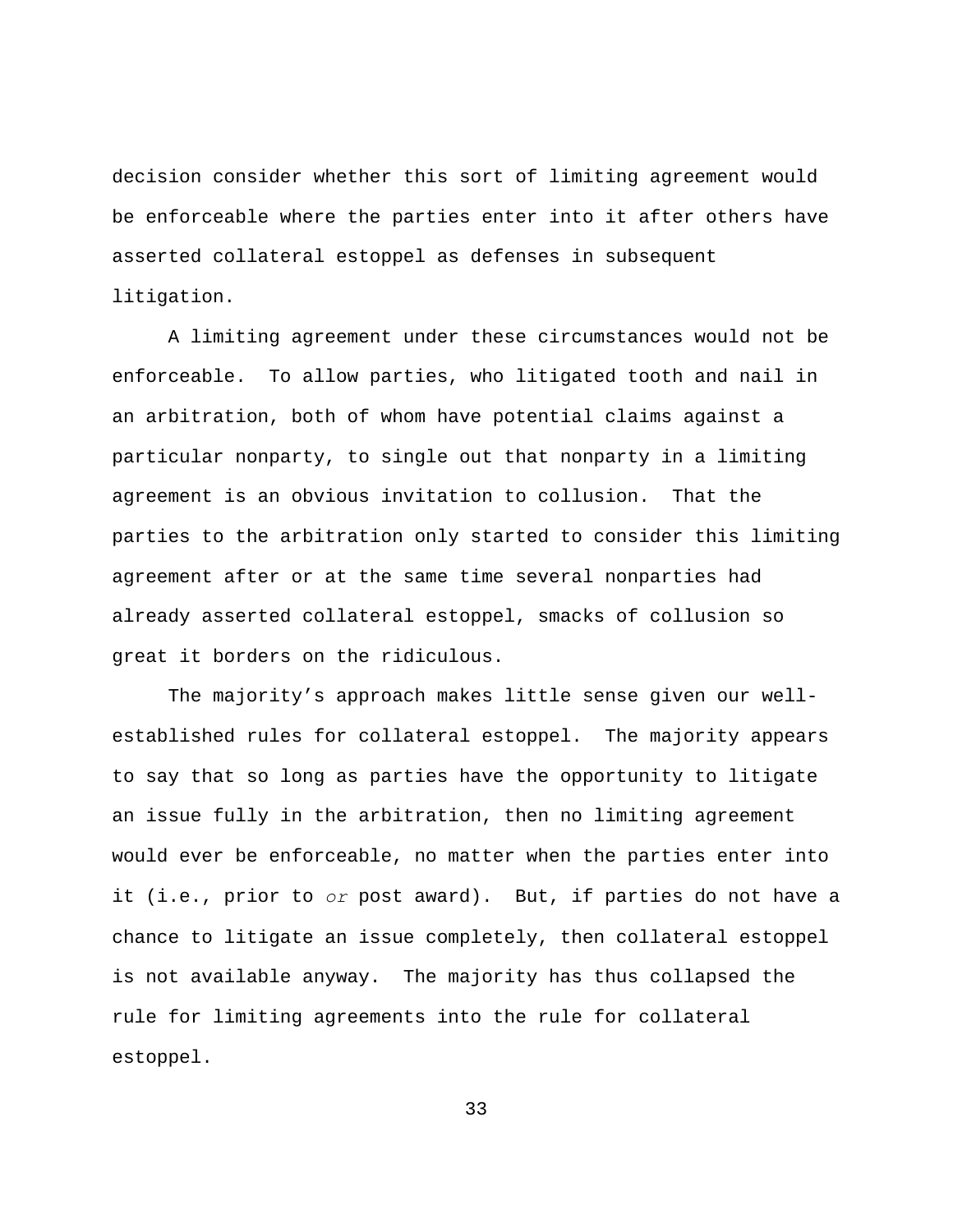decision consider whether this sort of limiting agreement would be enforceable where the parties enter into it after others have asserted collateral estoppel as defenses in subsequent litigation.

A limiting agreement under these circumstances would not be enforceable. To allow parties, who litigated tooth and nail in an arbitration, both of whom have potential claims against a particular nonparty, to single out that nonparty in a limiting agreement is an obvious invitation to collusion. That the parties to the arbitration only started to consider this limiting agreement after or at the same time several nonparties had already asserted collateral estoppel, smacks of collusion so great it borders on the ridiculous.

The majority's approach makes little sense given our wellestablished rules for collateral estoppel. The majority appears to say that so long as parties have the opportunity to litigate an issue fully in the arbitration, then no limiting agreement would ever be enforceable, no matter when the parties enter into it (i.e., prior to *or* post award). But, if parties do not have a chance to litigate an issue completely, then collateral estoppel is not available anyway. The majority has thus collapsed the rule for limiting agreements into the rule for collateral estoppel.